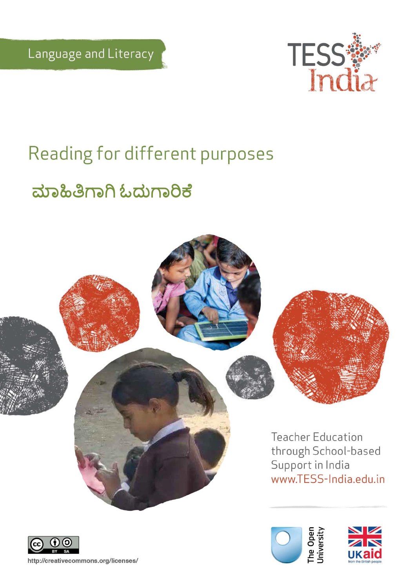

# Reading for different purposes

# ಮಾಹಿತಿಗಾಗಿ ಓದುಗಾರಿಕೆ





http://creativecommons.org/licenses/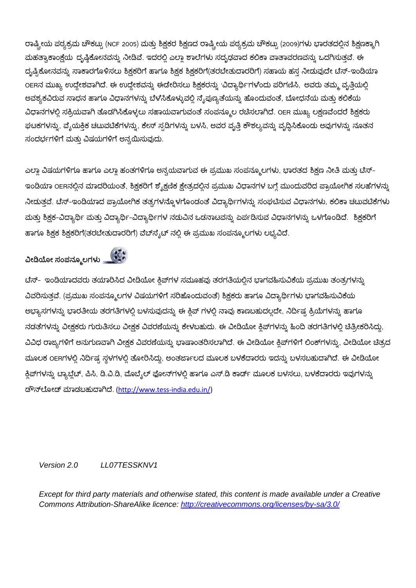ರಾಷ್ಟ್ರೀಯ ಪಠ್ಯಕ್ರಮ ಚೌಕಟ್ಟು (NCF 2005) ಮತ್ತು ಶಿಕ್ಷಕರ ಶಿಕ್ಷಣದ ರಾಷ್ಟ್ರೀಯ ಪಠ್ಯಕ್ರಮ ಚೌಕಟ್ಟು (2009)ಗಳು ಭಾರತದಲ್ಲಿನ ಶಿಕ್ಷಣಕ್ಕಾಗಿ ಮಹತ್ವಾಕಾಂಕ್ಷೆಯ ದೃಷ್ಠಿಕೋನವನ್ನು ನೀಡಿವೆ. ಇದರಲ್ಲಿ ಎಲ್ಲಾ ಶಾಲೆಗಳು ಸದೃಢವಾದ ಕಲಿಕಾ ವಾತಾವರಣವನ್ನು ಒದಗಿಸುತ್ತವೆ. ಈ ದೃಷ್ಟಿಕೋನವನ್ನು ಸಾಕಾರಗೊಳಿಸಲು ಶಿಕ್ಷಕರಿಗೆ ಹಾಗೂ ಶಿಕ್ಷಕ ಶಿಕ್ಷಕರಿಗೆ(ತರಬೇತುದಾರರಿಗೆ) ಸಹಾಯ ಹಸ್ತ ನೀಡುವುದೇ ಟೆಸ್–ಇಂಡಿಯಾ OERನ ಮುಖ್ಯ ಉದ್ದೇಶವಾಗಿದೆ. ಈ ಉದ್ದೇಶವನ್ನು ಈಡೇರಿಸಲು ಶಿಕ್ಷಕರನ್ನು 'ವಿದ್ಯಾರ್ಥಿ'ಗಳಂದು ಪರಿಗಣಿಸಿ, ಅವರು ತಮ್ಮ ವೃತ್ತಿಯಲ್ಲಿ ಅವಶ್ಯಕವಿರುವ ಸಾಧನ ಹಾಗೂ ವಿಧಾನಗಳನ್ನು ಬೆಳೆಸಿಕೊಳ್ಳುವಲ್ಲಿ ನ್ಯೆಪುಣ್ಯತೆಯನ್ನು ಹೊಂದುವಂತೆ, ಬೋಧನೆಯ ಮತ್ತು ಕಲಿಕೆಯ ವಿಧಾನಗಳಲ್ಲಿ ಸಕ್ರಿಯವಾಗಿ ತೊಡಗಿಸಿಕೊಳ್ಳಲು ಸಹಾಯವಾಗುವಂತೆ ಸಂಪನ್ಮೂಲ ರಚಿಸಲಾಗಿದೆ. OER ಮುಖ್ಯ ಲಕ್ಷಣವೆಂದರೆ ಶಿಕ್ಷಕರು ಘಟಕಗಳನ್ನು, ವೈಯಕ್ತಿಕ ಚಟುವಟಿಕೆಗಳನ್ನು, ಕೇಸ್ ಸ್ಪಡಿಗಳನ್ನು ಬಳಸಿ, ಅವರ ವೃತ್ತಿ ಕೌಶಲ್ಯವನ್ನು ವೃದ್ಧಿಸಿಕೊಂಡು ಅವುಗಳನ್ನು ನೂತನ ಸಂದರ್ಭಗಳಿಗೆ ಮತ್ತು ವಿಷಯಗಳಿಗೆ ಅನ್ವಯಿಸುವುದು.

ಎಲ್ಲಾ ವಿಷಯಗಳಿಗೂ ಹಾಗೂ ಎಲ್ಲಾ ಹಂತಗಳಿಗೂ ಅನ್ವಯವಾಗುವ ಈ ಪ್ರಮುಖ ಸಂಪನ್ಮೂಲಗಳು, ಭಾರತದ ಶಿಕ್ಷಣ ನೀತಿ ಮತ್ತು ಟೆಸ್-ಇಂಡಿಯಾ OERನಲ್ಲಿನ ಮಾದರಿಯಂತೆ, ಶಿಕ್ಷಕರಿಗೆ ಶ್ಯೆಕ್ಷಣಿಕ ಕ್ಷೇತ್ರದಲ್ಲಿನ ಪ್ರಮುಖ ವಿಧಾನಗಳ ಬಗ್ಗೆ ಮುಂದುವರಿದ ಪ್ರಾಯೋಗಿಕ ಸಲಹೆಗಳನ್ನು ನೀಡುತ್ತವೆ. ಟೆಸ್-ಇಂಡಿಯಾದ ಪ್ರಾಯೋಗಿಕ ತತ್ವಗಳನ್ನೊಳಗೊಂಡಂತೆ ವಿದ್ಯಾರ್ಥಿಗಳನ್ನು ಸಂಘಟಿಸುವ ವಿಧಾನಗಳು, ಕಲಿಕಾ ಚಟುವಟಿಕೆಗಳು ಮತ್ತು ಶಿಕ್ಷಕ-ವಿದ್ಯಾರ್ಥಿ ಮತ್ತು ವಿದ್ಯಾರ್ಥಿ-ವಿದ್ಯಾರ್ಥಿಗಳ ನಡುವಿನ ಒಡನಾಟವನ್ನು ಏರ್ಪಡಿಸುವ ವಿಧಾನಗಳನ್ನು ಒಳಗೊಂಡಿದೆ. ಶಿಕ್ಷಕರಿಗೆ ಹಾಗೂ ಶಿಕ್ಷಕ ಶಿಕ್ಷಕರಿಗೆ(ತರಬೇತುದಾರರಿಗೆ) ವೆಬ್ ಸ್ಮೆಟ್ ನಲ್ಲಿ ಈ ಪ್ರಮುಖ ಸಂಪನ್ಮೂಲಗಳು ಲಭ್ಯವಿದೆ.

ವೀಡಿಯೋ ಸಂಪನ್ಮೂಲಗಳು <mark>ಸ್ಥ</mark>ೇತಿ



ಟೆಸ್- ಇಂಡಿಯಾದವರು ತಯಾರಿಸಿದ ವೀಡಿಯೋ ಕ್ಲಿಪ್ಗಳ ಸಮೂಹವು ತರಗತಿಯಲ್ಲಿನ ಭಾಗವಹಿಸುವಿಕೆಯ ಪ್ರಮುಖ ತಂತ್ರಗಳನ್ನು ವಿವರಿಸುತ್ತವೆ. (ಪ್ರಮುಖ ಸಂಪನ್ಮೂಲಗಳ ವಿಷಯಗಳಿಗೆ ಸರಿಹೊಂದುವಂತೆ) ಶಿಕ್ಷಕರು ಹಾಗೂ ವಿದ್ಯಾರ್ಥಿಗಳು ಭಾಗವಹಿಸುವಿಕೆಯ ಅಭ್ಯಾಸಗಳನ್ನು ಭಾರತೀಯ ತರಗತಿಗಳಲ್ಲಿ ಬಳಸುವುದನ್ನು ಈ ಕ್ಲಿಪ್ ಗಳಲ್ಲಿ ನಾವು ಕಾಣಬಹುದಲ್ಲದೇ, ನಿರ್ದಿಷ್ಟ ಕ್ರಿಯೆಗಳನ್ನು ಹಾಗೂ ನಡತೆಗಳನ್ನು ವೀಕ್ಷಕರು ಗುರುತಿಸಲು ವೀಕ್ಷಕ ವಿವರಣೆಯನ್ನು ಕೇಳಬಹುದು. ಈ ವೀಡಿಯೋ ಕ್ಲಿಪ್1ಳನ್ನು ಹಿಂದಿ ತರಗತಿಗಳಲ್ಲಿ ಚಿತ್ರೀಕರಿಸಿದ್ದು, ವಿವಿಧ ರಾಜ್ಯಗಳಿಗೆ ಅನುಗುಣವಾಗಿ ವೀಕ್ಷಕ ವಿವರಣೆಯನ್ನು ಭಾಷಾಂತರಿಸಲಾಗಿದೆ. ಈ ವೀಡಿಯೋ ಕ್ತಿಪ್ಗಳಿಗೆ ಲಿಂಕ್ ಗಳನ್ನು, ವೀಡಿಯೋ ಚಿತ್ರದ ಮೂಲಕ OERಗಳಲ್ಲಿ ನಿರ್ದಿಷ್ಟ ಸ್ಥಳಗಳಲ್ಲಿ ತೋರಿಸಿದ್ದು, ಅಂತರ್ಜಾಲದ ಮೂಲಕ ಬಳಕೆದಾರರು ಇದನ್ನು ಬಳಸಬಹುದಾಗಿದೆ. ಈ ವೀಡಿಯೋ ಕ್ಲಿಪ್ ಗಳನ್ನು ಟ್ಯಾಬ್ಜೆಟ್, ಪಿಸಿ, ಡಿ.ವಿ.ಡಿ, ಮೊಬೈಲ್ ಫೋನ್ ಗಳಲ್ಲಿ ಹಾಗೂ ಎಸ್.ಡಿ ಕಾರ್ಡ್ ಮೂಲಕ ಬಳಸಲು, ಬಳಕೆದಾರರು ಇವುಗಳನ್ನು ಡೌನ್ಲೋಡ್ ಮಾಡಬಹುದಾಗಿದೆ. [\(http://www.tess-india.edu.in/\)](http://www.tess-india.edu.in/)

*Version 2.0 LL07TESSKNV1*

*Except for third party materials and otherwise stated, this content is made available under a Creative Commons Attribution-ShareAlike licence:<http://creativecommons.org/licenses/by-sa/3.0/>*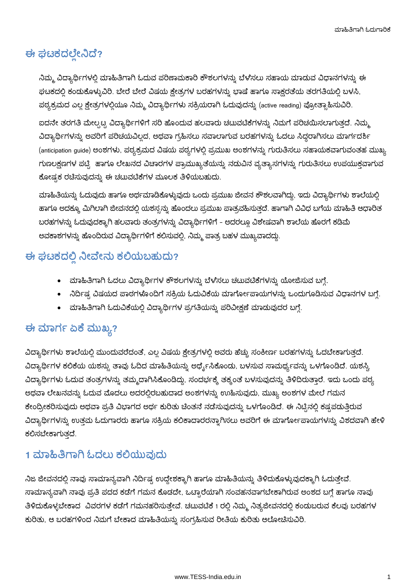## ಈ ಘಟಕದಲ್ಲೇನಿದೆ?

ನಿಮ್ಮ ವಿದ್ಯಾರ್ಥಿಗಳಲ್ಲಿ ಮಾಹಿತಿಗಾಗಿ ಓದುವ ಪರಿಣಾಮಕಾರಿ ಕೌಶಲಗಳನ್ನು ಬೆಳೆಸಲು ಸಹಾಯ ಮಾಡುವ ವಿಧಾನಗಳನ್ನು ಈ ಘಟಕದಲ್ಲಿ ಕಂಡುಕೊಳ್ಳುವಿರಿ. ಬೇರೆ ಬೇರೆ ವಿಷಯ ಕ್ಷೇತ್ರಗಳ ಬರಹಗಳನ್ನು ಭಾಷೆ ಹಾಗೂ ಸಾಕ್ಷರತೆಯ ತರಗತಿಯಲ್ಲಿ ಬಳಸಿ, ಪಠ್ಯಕ್ರಮದ ಎಲ್ಲ ಕ್ಷೇತ್ರಗಳಲ್ಲಿಯೂ ನಿಮ್ಮ ವಿದ್ಯಾರ್ಥಿಗಳು ಸಕ್ರಿಯರಾಗಿ ಓದುವುದನ್ನು (active reading) ಪ್ರೋತ್ಸಾಹಿಸುವಿರಿ.

ಐದನೇ ತರಗತಿ ಮೇಲ್ಪಟ್ಟ ವಿದ್ಯಾರ್ಥಿಗಳಿಗೆ ಸರಿ ಹೊಂದುವ ಹಲವಾರು ಚಟುವಟಿಕೆಗಳನ್ನು ನಿಮಗೆ ಪರಿಚಯಿಸಲಾಗುತ್ತದೆ. ನಿಮ್ಮ ವಿದ್ಯಾರ್ಥಿಗಳನ್ನು ಅವರಿಗೆ ಪರಿಚಯವಿಲ್ಲದ, ಅಥವಾ ಗ್ರಹಿಸಲು ಸವಾಲಾಗುವ ಬರಹಗಳನ್ನು ಓದಲು ಸಿದ್ಧರಾಗಿಸಲು ಮಾರ್ಗದರ್ಶಿ (anticipation guide) ಅಂಶಗಳು, ಪಠ್ಯಕ್ರಮದ ವಿಷಯ ಪಠ್ಯಗಳಲ್ಲಿ ಪ್ರಮುಖ ಅಂಶಗಳನ್ನು ಗುರುತಿಸಲು ಸಹಾಯಕವಾಗುವಂತಹ ಮುಖ್ಯ ಗುಣಲಕ್ಷಣಗಳ ಪಟ್ಟಿ ಹಾಗೂ ಲೇಖನದ ವಿಚಾರಗಳ ಪ್ರಾಮುಖ್ಯತೆಯನ್ನು ನಡುವಿನ ವ್ಯತ್ಯಾಸಗಳನ್ನು ಗುರುತಿಸಲು ಉಪಯುಕ್ತವಾಗುವ ಕೋಷ್ಟಕ ರಚಿಸುವುದನ್ನು ಈ ಚಟುವಟಿಕೆಗಳ ಮೂಲಕ ತಿಳಿಯಬಹುದು.

ಮಾಹಿತಿಯನ್ನು ಓದುವುದು ಹಾಗೂ ಅರ್ಥಮಾಡಿಕೊಳ್ಳುವುದು ಒಂದು ಪ್ರಮುಖ ಜೀವನ ಕೌಶಲವಾಗಿದ್ದು, ಇದು ವಿದ್ಯಾರ್ಥಿಗಳು ಶಾಲೆಯಲ್ಲಿ ಹಾಗೂ ಅದಕ್ಕೂ ಮಿಗಿಲಾಗಿ ಜೀವನದಲ್ಲಿ ಯಶಸ್ಸನ್ನು ಹೊಂದಲು ಪ್ರಮುಖ ಪಾತ್ರವಹಿಸುತ್ತದೆ. ಹಾಗಾಗಿ ವಿವಿಧ ಬಗೆಯ ಮಾಹಿತಿ ಆಧಾರಿತ ಬರಹಗಳನ್ನು ಓದುವುದಕ್ಕಾಗಿ ಹಲವಾರು ತಂತ್ರಗಳನ್ನು ವಿದ್ಯಾರ್ಥಿಗಳಿಗೆ – ಅದರಲ್ಲೂ ವಿಶೇಷವಾಗಿ ಶಾಲೆಯ ಹೊರಗೆ ಕಡಿಮೆ ಅವಕಾಶಗಳನ್ನು ಹೊಂದಿರುವ ವಿದ್ಯಾರ್ಥಿಗಳಿಗೆ ಕಲಿಸುವಲ್ಲಿ, ನಿಮ್ಮ ಪಾತ್ರ ಬಹಳ ಮುಖ್ಯವಾದದ್ದು.

## ಈ ಘಟಕದಲ್ಲಿ ನೀವೇನು ಕಲಿಯಬಹುದು?

- ಮಾಹಿತಿಗಾಗಿ ಓದಲು ವಿದ್ಯಾರ್ಥಿಗಳ ಕೌಶಲಗಳನ್ನು ಬೆಳೆಸಲು ಚಟುವಟಿಕೆಗಳನ್ನು ಯೋಜಿಸುವ ಬಗ್ಗೆ.
- ನಿರ್ದಿಷ್ಟ ವಿಷಯದ ಪಾಠಗಳೊಂದಿಗೆ ಸಕ್ರಿಯ ಓದುವಿಕೆಯ ಮಾರ್ಗೋಪಾಯಗಳನ್ನು ಒಂದುಗೂಡಿಸುವ ವಿಧಾನಗಳ ಬಗ್ಗೆ.
- ಮಾಹಿತಿಗಾಗಿ ಓದುವಿಕೆಯಲ್ಲಿ ವಿದ್ಯಾರ್ಥಿಗಳ ಪ್ರಗತಿಯನ್ನು ಪರಿವೀಕ್ಷಣೆ ಮಾಡುವುದರ ಬಗ್ಗೆ.

## ಈ ಮಾರ್ಗ ಏಕೆ ಮುಖ್ಯ?

ವಿದ್ಯಾರ್ಥಿಗಳು ಶಾಲೆಯಲ್ಲಿ ಮುಂದುವರೆದಂತೆ, ಎಲ್ಲ ವಿಷಯ ಕ್ಷೇತ್ರಗಳಲ್ಲಿ ಅವರು ಹೆಚ್ಚು ಸಂಕೀರ್ಣ ಬರಹಗಳನ್ನು ಓದಬೇಕಾಗುತ್ತದೆ. ವಿದ್ಯಾರ್ಥಿಗಳ ಕಲಿಕೆಯ ಯಶಸ್ಸು ತಾವು ಓದಿದ ಮಾಹಿತಿಯನ್ನು ಅರ್ಥೈಸಿಕೊಂಡು, ಬಳಸುವ ಸಾಮರ್ಥ್ಯವನ್ನು ಒಳಗೊಂಡಿದೆ. ಯಶಸ್ವಿ ವಿದ್ಯಾರ್ಥಿಗಳು ಓದುವ ತಂತ್ರಗಳನ್ನು ತಮ್ಮದಾಗಿಸಿಕೊಂಡಿದ್ದು, ಸಂದರ್ಭಕ್ಕೆ ತಕ್ಕಂತೆ ಬಳಸುವುದನ್ನು ತಿಳಿದಿರುತ್ತಾರೆ. ಇದು ಒಂದು ಪಠ್ಯ ಅಥವಾ ಲೇಖನವನ್ನು ಓದುವ ಮೊದಲು ಅದರಲ್ಲಿರಬಹುದಾದ ಅಂಶಗಳನ್ನು ಉುಹಿಸುವುದು, ಮುಖ್ಯ ಅಂಶಗಳ ಮೇಲೆ ಗಮನ ಕೇಂದ್ರೀಕರಿಸುವುದು ಅಥವಾ ಪ್ರತಿ ವಿಭಾಗದ ಅರ್ಥ ಕುರಿತು ಚೆಂತನೆ ನಡೆಸುವುದನ್ನು ಒಳಗೊಂಡಿದೆ. ಈ ನಿಟ್ಟಿನಲ್ಲಿ ಕಷ್ಟಪಡುತ್ತಿರುವ ವಿದ್ಯಾರ್ಥಿಗಳನ್ನು ಉತ್ತಮ ಓದುಗಾರರು ಹಾಗೂ ಸಕ್ರಿಯ ಕಲಿಕಾದಾರರನ್ನಾಗಿಸಲು ಅವರಿಗೆ ಈ ಮಾರ್ಗೋಪಾಯಗಳನ್ನು ವಿಶದವಾಗಿ ಹೇಳಿ ಕಲಿಸಬೇಕಾಗುತದೆ.

## 1 ಮಾಹಿತಿಗಾಗಿ ಓದಲು ಕಲಿಯುವುದು

ನಿಜ ಜೀವನದಲ್ಲಿ ನಾವು ಸಾಮಾನ್ಯವಾಗಿ ನಿರ್ದಿಷ್ಟ ಉದ್ದೇಶಕ್ಕಾಗಿ ಹಾಗೂ ಮಾಹಿತಿಯನ್ನು ತಿಳಿದುಕೊಳ್ಳುವುದಕ್ಕಾಗಿ ಓದುತ್ತೇವೆ. ಸಾಮಾನ್ಯವಾಗಿ ನಾವು ಪ್ರತಿ ಪದದ ಕಡೆಗೆ ಗಮನ ಕೊಡದೇ, ಒಟ್ಟಾರೆಯಾಗಿ ಸಂವಹನವಾಗಬೇಕಾಗಿರುವ ಅಂಶದ ಬಗ್ಗೆ ಹಾಗೂ ನಾವು ತಿಳಿದುಕೊಳ್ಳಬೇಕಾದ ವಿವರಗಳ ಕಡೆಗೆ ಗಮನಹರಿಸುತ್ತೇವೆ. ಚಟುವಟಿಕೆ 1 ರಲ್ಲಿ ನಿಮ್ಮ ನಿತ್ಯಜೀವನದಲ್ಲಿ ಕಂಡುಬರುವ ಕೆಲವು ಬರಹಗಳ ಕುರಿತು, ಆ ಬರಹಗಳಿಂದ ನಿಮಗೆ ಬೇಕಾದ ಮಾಹಿತಿಯನ್ನು ಸಂಗ್ರಹಿಸುವ ರೀತಿಯ ಕುರಿತು ಆಲೋಚಿಸುವಿರಿ.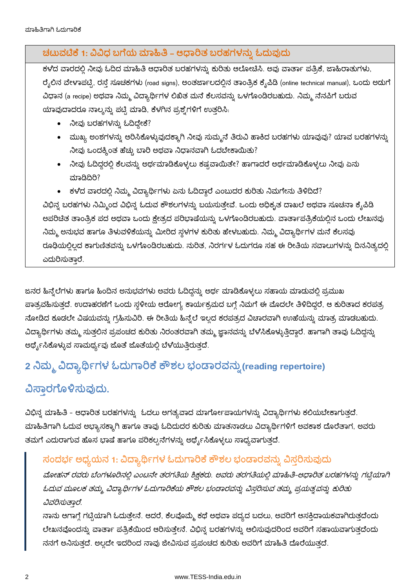### ಚಟುವಟಿಕೆ 1: ವಿವಿಧ ಬಗೆಯ ಮಾಹಿತಿ – ಆಧಾರಿತ ಬರಹಗಳನ್ನು ಓದುವುದು

ಕಳೆದ ವಾರದಲ್ಲಿ ನೀವು ಓದಿದ ಮಾಹಿತಿ ಆಧಾರಿತ ಬರಹಗಳನ್ನು ಕುರಿತು ಆಲೋಚಿಸಿ. ಅವು ವಾರ್ತಾ ಪತ್ರಿಕೆ, ಜಾಹಿರಾತುಗಳು, ರೈಲಿನ ವೇಳಾಪಟ್ಟಿ, ರಸ್ತೆ ಸೂಚಕಗಳು (road signs), ಅಂತರ್ಜಾಲದಲ್ಲಿನ ತಾಂತ್ರಿಕ ಕೈಪಿಡಿ (online technical manual), ಒಂದು ಅಡುಗೆ ವಿಧಾನ (a recipe) ಅಥವಾ ನಿಮ್ಮ ವಿದ್ಯಾರ್ಥಿಗಳ ಲಿಖಿತ ಮನೆ ಕೆಲಸವನ್ನು ಒಳಗೊಂಡಿರಬಹುದು. ನಿಮ್ಮ ನೆನಪಿಗೆ ಬರುವ ಯಾವುದಾದರೂ ನಾಲ್ಕನ್ನು ಪಟ್ಟಿ ಮಾಡಿ, ಕೆಳಗಿನ ಪ್ರಶ್ನೆಗಳಿಗೆ ಉತ್ತರಿಸಿ.

- ನೀವು ಬರಹಗಳನ್ನು ಓದಿದ್ದೇಕೆ?
- ಮುಖ್ಯ ಅಂಶಗಳನ್ನು ಆರಿಸಿಕೊಳ್ಳುವುದಕ್ಕಾಗಿ ನೀವು ಸುಮ್ಮನೆ ತಿರುವಿ ಹಾಕಿದ ಬರಹಗಳು ಯಾವುವು? ಯಾವ ಬರಹಗಳನ್ನು ನೀವು ಒಂದಕ್ಕಿಂತ ಹೆಚ್ಚು ಬಾರಿ ಅಥವಾ ನಿಧಾನವಾಗಿ ಓದಬೇಕಾಯಿತು?
- ನೀವು ಓದಿದ್ದರಲ್ಲಿ ಕೆಲವನ್ನು ಅರ್ಥಮಾಡಿಕೊಳ್ಳಲು ಕಷ್ಟವಾಯಿತೇ? ಹಾಗಾದರೆ ಅರ್ಥಮಾಡಿಕೊಳ್ಳಲು ನೀವು ಏನು ಮಾಡಿದಿರಿ?
- ಕಳೆದ ವಾರದಲ್ಲಿ ನಿಮ್ಮ ವಿದ್ಯಾರ್ಥಿಗಳು ಏನು ಓದಿದ್ದಾರೆ ಎಂಬುದರ ಕುರಿತು ನಿಮಗೇನು ತಿಳಿದಿದೆ?

ವಿಭಿನ್ನ ಬರಹಗಳು ನಿಮ್ಮಿಂದ ವಿಭಿನ್ನ ಓದುವ ಕೌಶಲಗಳನ್ನು ಬಯಸುತ್ತೇವೆ. ಒಂದು ಅಧಿಕೃತ ದಾಖಲೆ ಅಥವಾ ಸೂಚನಾ ಕ್ಯೆಪಿಡಿ ಅಪರಿಚಿತ ತಾಂತ್ರಿಕ ಪದ ಅಥವಾ ಒಂದು ಕ್ಷೇತ್ರದ ಪರಿಭಾಷೆಯನ್ನು ಒಳಗೊಂಡಿರಬಹುದು. ವಾರ್ತಾಪತ್ರಿಕೆಯಲ್ಲಿನ ಒಂದು ಲೇಖನವು ನಿಮ್ಮ ಅನುಭವ ಹಾಗೂ ತಿಳುವಳಿಕೆಯನ್ನು ಮೀರಿದ ಸ್ಥಳಗಳ ಕುರಿತು ಹೇಳಬಹುದು. ನಿಮ್ಮ ವಿದ್ಯಾರ್ಥಿಗಳ ಮನೆ ಕೆಲಸವು ರೂಢಿಯಲ್ಲಿಲ್ಲದ ಕಾಗುಣಿತವನ್ನು ಒಳಗೊಂಡಿರಬಹುದು. ನುರಿತ, ನಿರರ್ಗಳ ಓದುಗರೂ ಸಹ ಈ ರೀತಿಯ ಸವಾಲುಗಳನ್ನು ದಿನನಿತ್ಯದಲ್ಲಿ ಎದುರಿಸುತಾರೆ.

ಜನರ ಹಿನ್ನೆಲೆಗಳು ಹಾಗೂ ಹಿಂದಿನ ಅನುಭವಗಳು ಅವರು ಓದಿದ್ದನ್ನು ಅರ್ಥ ಮಾಡಿಕೊಳ್ಳಲು ಸಹಾಯ ಮಾಡುವಲ್ಲಿ ಪ್ರಮುಖ ಪಾತ್ರವಹಿಸುತ್ತದೆ. ಉದಾಹರಣೆಗೆ ಒಂದು ಸ್ಥಳೀಯ ಆರೋಗ್ಯ ಕಾರ್ಯಕ್ರಮದ ಬಗ್ಗೆ ನಿಮಗೆ ಈ ಮೊದಲೇ ತಿಳಿದಿದ್ದರೆ, ಆ ಕುರಿತಾದ ಕರಪತ್ರ ನೋಡಿದ ಕೂಡಲೇ ವಿಷಯವನ್ನು ಗ್ರಹಿಸುವಿರಿ. ಈ ರೀತಿಯ ಹಿನ್ನೆಲೆ ಇಲ್ಲದ ಕರಪತ್ರದ ವಿಚಾರವಾಗಿ ಉುಹೆಯನ್ನು ಮಾತ್ರ ಮಾಡಬಹುದು. ವಿದ್ಯಾರ್ಥಿಗಳು ತಮ್ಮ ಸುತ್ತಲಿನ ಪ್ರಪಂಚದ ಕುರಿತು ನಿರಂತರವಾಗಿ ತಮ್ಮ ಜ್ಞಾನವನ್ನು ಬೆಳೆಸಿಕೊಳ್ಳುತ್ತಿದ್ದಾರೆ. ಹಾಗಾಗಿ ತಾವು ಓದಿದ್ದನ್ನು ಅರ್ಥೈಸಿಕೊಳ್ಳುವ ಸಾಮರ್ಥ್ಯವು ಜೊತೆ ಜೊತೆಯಲ್ಲಿ ಬೆಳೆಯುತ್ತಿರುತ್ತದೆ.

# 2 ನಿಮ್ಮ ವಿದ್ಯಾರ್ಥಿಗಳ ಓದುಗಾರಿಕೆ ಕೌಶಲ ಭಂಡಾರವನ್ನು (reading repertoire)

# ವಿಸಾರಗೊಳಿಸುವುದು.

ವಿಭಿನ್ನ ಮಾಹಿತಿ - ಆಧಾರಿತ ಬರಹಗಳನ್ನು ಓದಲು ಅಗತ್ಯವಾದ ಮಾರ್ಗೋಪಾಯಗಳನ್ನು ವಿದ್ಯಾರ್ಥಿಗಳು ಕಲಿಯಬೇಕಾಗುತ್ತದೆ. ಮಾಹಿತಿಗಾಗಿ ಓದುವ ಅಭ್ಯಾಸಕ್ಕಾಗಿ ಹಾಗೂ ತಾವು ಓದಿದುದರ ಕುರಿತು ಮಾತನಾಡಲು ವಿದ್ಯಾರ್ಥಿಗಳಿಗೆ ಅವಕಾಶ ದೊರೆತಾಗ, ಅವರು ತಮಗೆ ಎದುರಾಗುವ ಹೊಸ ಭಾಷೆ ಹಾಗೂ ಪರಿಕಲ್ಪನೆಗಳನ್ನು ಅರ್ಥೈಸಿಕೊಳ್ಳಲು ಸಾಧ್ಯವಾಗುತ್ತದೆ.

### ಸಂದರ್ಭ ಅಧ್ಯಯನ 1: ವಿದ್ಯಾರ್ಥಿಗಳ ಓದುಗಾರಿಕೆ ಕೌಶಲ ಭಂಡಾರವನ್ನು ವಿಸ್ತರಿಸುವುದು

ಮೋಹನ್ ರವರು ಬೆಂಗಳೂರಿನಲ್ಲಿ ಎಂಟನೇ ತರಗತಿಯ ಶಿಕ್ಷಕರು. ಅವರು ತರಗತಿಯಲ್ಲಿ ಮಾಹಿತಿ-ಆಧಾರಿತ ಬರಹಗಳನ್ನು ಗಟ್ಟಿಯಾಗಿ ಓದುವ ಮೂಲಕ ತಮ್ಮ ವಿದ್ಯಾರ್ಥಿಗಳ ಓದುಗಾರಿಕೆಯ ಕೌಶಲ ಭಂಡಾರವನ್ನು ವಿಸರಿಸುವ ತಮ್ಮ ಪ್ರಯತ್ನವನ್ನು ಕುರಿತು ವಿವರಿಸುತ್ತಾರೆ.

ನಾನು ಆಗಾಗ್ಗೆ ಗಟ್ಟಿಯಾಗಿ ಓದುತ್ತೇನೆ. ಆದರೆ, ಕೆಲವೊಮ್ಮ್ಮೆಕಥೆ ಅಥವಾ ಪದ್ಯದ ಬದಲು, ಅವರಿಗೆ ಆಸಕ್ತಿದಾಯಕವಾಗಿರುತ್ತದೆಂದು ಲೇಖನವೊಂದನ್ನು ವಾರ್ತಾ ಪತ್ರಿಕೆಯಿಂದ ಆರಿಸುತ್ತೇನೆ. ವಿಭಿನ್ನ ಬರಹಗಳನ್ನು ಆಲಿಸುವುದರಿಂದ ಅವರಿಗೆ ಸಹಾಯವಾಗುತ್ತದೆಂದು ನನಗೆ ಅನಿಸುತ್ತದೆ. ಅಲ್ಲದೇ ಇದರಿಂದ ನಾವು ಜೀವಿಸುವ ಪ್ರಪಂಚದ ಕುರಿತು ಅವರಿಗೆ ಮಾಹಿತಿ ದೊರೆಯುತ್ತದೆ.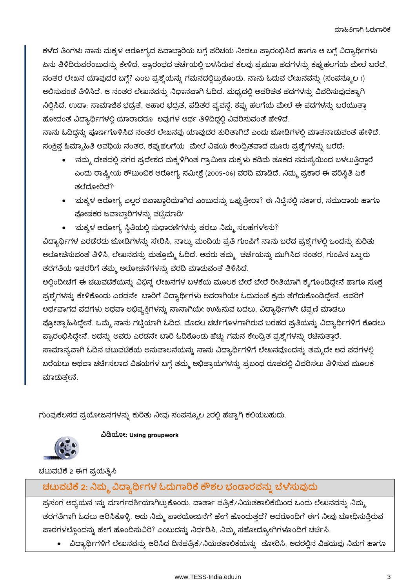ಕಳೆದ ತಿಂಗಳು ನಾನು ಮಕ್ಕಳ ಆರೋಗ್ಯದ ಜವಾಬ್ದಾರಿಯ ಬಗ್ಗೆ ಪರಿಚಯ ನೀಡಲು ಪ್ರಾರಂಭಿಸಿದೆ ಹಾಗೂ ಆ ಬಗ್ಗೆ ವಿದ್ಯಾರ್ಥಿಗಳು ಏನು ತಿಳಿದಿರುವರೆಂಬುದನ್ನು ಕೇಳಿದೆ. ಪ್ರಾರಂಭದ ಚರ್ಚೆಯಲ್ಲಿ ಬಳಸಿರುವ ಕೆಲವು ಪ್ರಮುಖ ಪದಗಳನ್ನು ಕಪ್ಪುಹಲಗೆಯ ಮೇಲೆ ಬರೆದೆ, ನಂತರ ಲೇಖನ ಯಾವುದರ ಬಗ್ಗೆ? ಎಂಬ ಪ್ರಶ್ನೆಯನ್ನು ಗಮನದಲ್ಲಿಟ್ಟುಕೊಂಡು, ನಾನು ಓದುವ ಲೇಖನವನ್ನು (ಸಂಪನ್ಮೂಲ 1) ಆಲಿಸುವಂತೆ ತಿಳಿಸಿದೆ. ಆ ನಂತರ ಲೇಖನವನ್ನು ನಿಧಾನವಾಗಿ ಓದಿದೆ. ಮಧ್ಯದಲ್ಲಿ ಅಪರಿಚಿತ ಪದಗಳನ್ನು ವಿವರಿಸುವುದಕ್ಕಾಗಿ ನಿಲ್ಲಿಸಿದೆ. ಉದಾ: ಸಾಮಾಜಿಕ ಭದ್ರತೆ, ಆಹಾರ ಭದ್ರತೆ, ಪಡಿತರ ವ್ಯವಸ್ಥೆ. ಕಪ್ಪು ಹಲಗೆಯ ಮೇಲೆ ಈ ಪದಗಳನ್ನು ಬರೆಯುತ್ತಾ ಹೋದಂತೆ ವಿದ್ಯಾರ್ಥಿಗಳಲ್ಲಿ ಯಾರಾದರೂ ಅವುಗಳ ಅರ್ಥ ತಿಳಿದಿದ್ದಲ್ಲಿ ವಿವರಿಸುವಂತೆ ಹೇಳಿದೆ.

ನಾನು ಓದಿದ್ದನ್ನು ಪೂರ್ಣಗೊಳಿಸಿದ ನಂತರ ಲೇಖನವು ಯಾವುದರ ಕುರಿತಾಗಿದೆ ಎಂದು ಜೋಡಿಗಳಲ್ಲಿ ಮಾತನಾಡುವಂತೆ ಹೇಳಿದೆ. ಸಂಕ್ಷಿಪ್ತ ಹಿಮ್ಮಾಹಿತಿ ಅವಧಿಯ ನಂತರ, ಕಪ್ಪುಹಲಗೆಯ ಮೇಲೆ ವಿಷಯ ಕೇಂದ್ರಿತವಾದ ಮೂರು ಪ್ರಶ್ನೆಗಳನ್ನು ಬರೆದೆ.

- 'ನಮ್ಮ ದೇಶದಲ್ಲಿ ನಗರ ಪ್ರದೇಶದ ಮಕ್ಕಳಿಗಿಂತ ಗ್ರಾಮೀಣ ಮಕ್ಕಳು ಕಡಿಮೆ ತೂಕದ ಸಮಸ್ಯೆಯಿಂದ ಬಳಲುತ್ತಿದ್ದಾರೆ ಎಂದು ರಾಷ್ಟ್ರೀಯ ಕೌಟುಂಬಿಕ ಆರೋಗ್ಯ ಸಮೀಕ್ಷೆ (2005-06) ವರದಿ ಮಾಡಿದೆ. ನಿಮ್ಮ ಪ್ರಕಾರ ಈ ಪರಿಸ್ಥಿತಿ ಏಕೆ ತಲೆದೋರಿದೆ?
- 'ಮಕ್ಕಳ ಆರೋಗ್ಯ ಎಲ್ಲರ ಜವಾಬ್ದಾರಿಯಾಗಿದೆ ಎಂಬುದನ್ನು ಒಪ್ಪುತ್ತೀರಾ? ಈ ನಿಟ್ಟಿನಲ್ಲಿ ಸರ್ಕಾರ, ಸಮುದಾಯ ಹಾಗೂ ಪೋಷಕರ ಜವಾಬ್ದಾರಿಗಳನ್ನು ಪಟ್ಟಿಮಾಡಿ
- 'ಮಕ್ಕಳ ಆರೋಗ್ಯ ಸ್ಥಿತಿಯಲ್ಲಿ ಸುಧಾರಣೆಗಳನ್ನು ತರಲು ನಿಮ್ಮ ಸಲಹೆಗಳೇನು?'

ವಿದ್ಯಾರ್ಥಿಗಳ ಎರಡೆರಡು ಜೋಡಿಗಳನ್ನು ಸೇರಿಸಿ, ನಾಲ್ಕು ಮಂದಿಯ ಪ್ರತಿ ಗುಂಪಿಗೆ ನಾನು ಬರೆದ ಪ್ರಶ್ನೆಗಳಲ್ಲಿ ಒಂದನ್ನು ಕುರಿತು ಆಲೋಚಿಸುವಂತೆ ತಿಳಿಸಿ, ಲೇಖನವನ್ನು ಮತ್ತೊಮ್ಮೆ ಓದಿದೆ. ಅವರು ತಮ್ಮ್ಗ ಚರ್ಚೆಯನ್ನು ಮುಗಿಸಿದ ನಂತರ, ಗುಂಪಿನ ಒಬ್ಬರು ತರಗತಿಯ ಇತರರಿಗೆ ತಮ್ಮ ಆಲೋಚನೆಗಳನ್ನು ವರದಿ ಮಾಡುವಂತೆ ತಿಳಿಸಿದೆ.

ಅಲ್ಲಿಂದೀಚೆಗೆ ಈ ಚಟುವಟಿಕೆಯನ್ನು ವಿಭಿನ್ನ ಲೇಖನಗಳ ಬಳಕೆಯ ಮೂಲಕ ಬೇರೆ ಬೇರೆ ರೀತಿಯಾಗಿ ಕ್ಶೆಗೊಂಡಿದ್ದೇನೆ ಹಾಗೂ ಸೂಕ್ತ ಪ್ರಶ್ನೆಗಳನ್ನು ಕೇಳಿಕೊಂಡು ಎರಡನೇ ಬಾರಿಗೆ ವಿದ್ಯಾರ್ಥಿಗಳು ಅವರಾಗಿಯೇ ಓದುವಂತೆ ಕ್ರಮ ತೆಗೆದುಕೊಂಡಿದ್ದೇನೆ. ಅವರಿಗೆ ಅರ್ಥವಾಗದ ಪದಗಳು ಅಥವಾ ಅಭಿವ್ಯಕ್ತಿಗಳನ್ನು ನಾನಾಗಿಯೇ ಉಹಿಸುವ ಬದಲು, ವಿದ್ಯಾರ್ಥಿಗಳೇ ಟಿಪ್ಪಣಿ ಮಾಡಲು ಪ್ರೋತ್ಸಾಹಿಸಿದ್ದೇನೆ. ಒಮ್ಮೆ ನಾನು ಗಟ್ಟಿಯಾಗಿ ಓದಿದ, ಮೊದಲ ಚರ್ಚೆಗೊಳಗಾಗಿರುವ ಬರಹದ ಪ್ರತಿಯನ್ನು ವಿದ್ಯಾರ್ಥಿಗಳಿಗೆ ಕೊಡಲು -ಪ್ರಾರಂಭಿಸಿದ್ದೇನೆ. ಅದನ್ನು ಅವರು ಎರಡನೇ ಬಾರಿ ಓದಿಕೊಂಡು ಹೆಚ್ಚು ಗಮನ ಕೇಂದ್ರಿತ ಪ್ರಶ್ನೆಗಳನ್ನು ರಚಿಸುತ್ತಾರೆ. ಸಾಮಾನ್ಯವಾಗಿ ಓದಿನ ಚಟುವಟಿಕೆಯ ಅನುಪಾಲನೆಯನ್ನು ನಾನು ವಿದ್ಯಾರ್ಥಿಗಳಿಗೆ ಲೇಖನವೊಂದನ್ನು ತಮ್ಮದೇ ಆದ ಪದಗಳಲ್ಲಿ ಬರೆಯಲು ಅಥವಾ ಚರ್ಚಿಸಲಾದ ವಿಷಯಗಳ ಬಗ್ಗೆ ತಮ್ಮ ಅಭಿಪ್ರಾಯಗಳನ್ನು ಪ್ರಬಂಧ ರೂಪದಲ್ಲಿ ವಿವರಿಸಲು ತಿಳಿಸುವ ಮೂಲಕ ಮಾದುತ್ತೇನೆ.

ಗುಂಪುಕೆಲಸದ ಪ್ರಯೋಜನಗಳನ್ನು ಕುರಿತು ನೀವು ಸಂಪನ್ಮೂಲ 2ರಲ್ಲಿ ಹೆಚ್ಚಾಗಿ ಕಲಿಯಬಹುದು.



#### ವಿಡಿಯೋ: Using groupwork

ಚಟುವಟಿಕೆ 2 ಈಗ ಪ್ರಯತ್ನಿಸಿ

ಚಟುವಟಿಕೆ 2: ನಿಮ್ಮ ವಿದ್ಯಾರ್ಥಿಗಳ ಓದುಗಾರಿಕೆ ಕೌಶಲ ಭಂಡಾರವನ್ನು ಬೆಳೆಸುವುದು

ಪ್ರಸಂಗ ಅಧ್ಯಯನ 1ನ್ನು ಮಾರ್ಗದರ್ಶಿಯಾಗಿಟ್ಟುಕೊಂಡು, ವಾರ್ತಾ ಪತ್ರಿಕೆ/ನಿಯತಕಾಲಿಕೆಯಿಂದ ಒಂದು ಲೇಖನವನ್ನು ನಿಮ್ಮ ತರಗತಿಗಾಗಿ ಓದಲು ಆರಿಸಿಕೊಳ್ಳಿ. ಅದು ನಿಮ್ಮ ಪಾಠಯೋಜನೆಗೆ ಹೇಗೆ ಹೊಂದುತ್ತದೆ? ಅದರೊಂದಿಗೆ ಈಗ ನೀವು ಬೋಧಿಸುತ್ತಿರುವ ಪಾಠಗಳಲ್ಲೊಂದನ್ನು ಹೇಗೆ ಹೊಂದಿಸುವಿರಿ? ಎಂಬುದನ್ನು ನಿರ್ಧರಿಸಿ, ನಿಮ್ಮ ಸಹೋದ್ಯೋಗಿಗಳೊಂದಿಗೆ ಚರ್ಚಿಸಿ.

• ವಿದ್ಯಾರ್ಥಿಗಳಿಗೆ ಲೇಖನವನ್ನು ಆರಿಸಿದ ದಿನಪತ್ರಿಕೆ⁄ ನಿಯತಕಾಲಿಕೆಯನ್ನು ತೋರಿಸಿ, ಅದರಲ್ಲಿನ ವಿಷಯವು ನಿಮಗೆ ಹಾಗೂ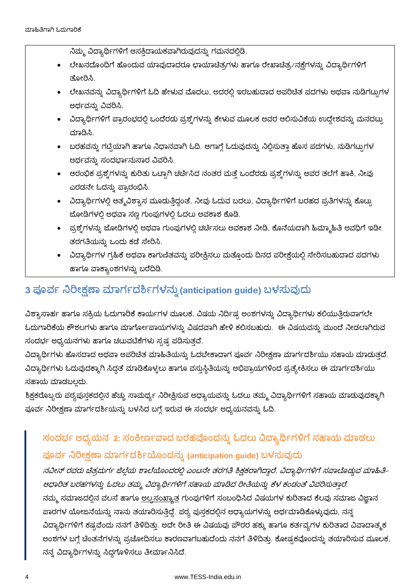ನಿಮ್ಮ ವಿದ್ಯಾರ್ಥಿಗಳಿಗೆ ಆಸಕ್ತಿದಾಯಕವಾಗಿರುವುದನ್ನು ಗಮನದಲ್ಲಿಡಿ.

- ಲೇಖನದೊಂದಿಗೆ ಹೊಂದುವ ಯಾವುದಾದರೂ ಛಾಯಾಚಿತ್ರಗಳು ಹಾಗೂ ರೇಖಾಚಿತ್ರ/ನಕ್ಷೆಗಳನ್ನು ವಿದ್ಯಾರ್ಥಿಗಳಿಗೆ ತೋರಿಸಿ.
- ಲೇಖನವನ್ನು ವಿದ್ಯಾರ್ಥಿಗಳಿಗೆ ಓದಿ ಹೇಳುವ ಮೊದಲು, ಅದರಲ್ಲಿ ಇರಬಹುದಾದ ಅಪರಿಚಿತ ಪದಗಳು ಅಥವಾ ನುಡಿಗಟುಗಳ ಅರ್ಥವನ್ನು ವಿವರಿಸಿ.
- ವಿದ್ಯಾರ್ಥಿಗಳಿಗೆ ಪ್ರಾರಂಭದಲ್ಲಿ ಒಂದೆರಡು ಪ್ರಶ್ನೆಗಳನ್ನು ಕೇಳುವ ಮೂಲಕ ಅವರ ಆಲಿಸುವಿಕೆಯ ಉದ್ದೇಶವನ್ನು ಮನದಟ್ಟು ಮಾಡಿಸಿ.
- ಬರಹವನ್ನು ಗಟ್ಟಿಯಾಗಿ ಹಾಗೂ ನಿಧಾನವಾಗಿ ಓದಿ. ಆಗಾಗ್ಗೆ ಓದುವುದನ್ನು ನಿಲ್ಲಿಸುತ್ತಾ ಹೊಸ ಪದಗಳು, ನುಡಿಗಟ್ಟುಗಳ ಅರ್ಥವನ್ನು ಸಂದರ್ಭಾನುಸಾರ ವಿವರಿಸಿ.
- ಆರಂಭಿಕ ಪ್ರಶ್ನೆಗಳನ್ನು ಕುರಿತು ಒಟ್ಟಾಗಿ ಚರ್ಚಿಸಿದ ನಂತರ ಮತ್ತೆ ಒಂದೆರಡು ಪ್ರಶ್ನೆಗಳನ್ನು ಅವರ ತಲೆಗೆ ಹಾಕಿ, ನೀವು ಎರಡನೇ ಓದನ್ನು ಪ್ರಾರಂಭಿಸಿ.
- ವಿದ್ಯಾರ್ಥಿಗಳಲ್ಲಿ ಆತ್ಮವಿಶ್ವಾಸ ಮೂಡುತ್ತಿದ್ದಂತೆ, ನೀವು ಓದುವ ಬದಲು, ವಿದ್ಯಾರ್ಥಿಗಳಿಗೆ ಬರಹದ ಪ್ರತಿಗಳನ್ನು ಕೊಟ್ಟು ಜೋಡಿಗಳಲ್ಲಿ ಅಥವಾ ಸಣ್ಣ ಗುಂಪುಗಳಲ್ಲಿ ಓದಲು ಅವಕಾಶ ಕೊಡಿ.
- ಪ್ರಶ್ನೆಗಳನ್ನು ಜೋಡಿಗಳಲ್ಲಿ ಅಥವಾ ಗುಂಪುಗಳಲ್ಲಿ ಚರ್ಚಿಸಲು ಅವಕಾಶ ನೀಡಿ, ಕೊನೆಯದಾಗಿ ಹಿಮ್ಮಾಹಿತಿ ಅವಧಿಗೆ ಇಡೀ ತರಗತಿಯನ್ನು ಒಂದು ಕಡೆ ಸೇರಿಸಿ.
- ವಿದ್ಯಾರ್ಥಿಗಳ ಗ್ರಹಿಕೆ ಅಥವಾ ಕಾಗುಣಿತವನ್ನು ಪರೀಕ್ಷಿಸಲು ಮತ್ತೊಂದು ದಿನದ ಪರೀಕ್ಷೆಯಲ್ಲಿ ಸೇರಿಸಬಹುದಾದ ಪದಗಳು ಹಾಗೂ ವಾಕ್ಯಾಂಶಗಳನ್ನು ಬರೆದಿಡಿ.

# 3 ಪೂರ್ವ ನಿರೀಕ್ಷಣಾ ಮಾರ್ಗದರ್ಶಿಗಳನ್ನು (anticipation guide) ಬಳಸುವುದು

ವಿಶ್ವಾಸಾರ್ಹ ಹಾಗೂ ಸಕ್ರಿಯ ಓದುಗಾರಿಕೆ ಕಾರ್ಯಗಳ ಮೂಲಕ, ವಿಷಯ ನಿರ್ದಿಷ್ಟ ಅಂಶಗಳನ್ನು ವಿದ್ಯಾರ್ಥಿಗಳು ಕಲಿಯುತ್ತಿರುವಾಗಲೇ ಓದುಗಾರಿಕೆಯ ಕೌಶಲಗಳು ಹಾಗೂ ಮಾರ್ಗೋಪಾಯಗಳನ್ನು ವಿಷದವಾಗಿ ಹೇಳಿ ಕಲಿಸಬಹುದು. ಈ ವಿಷಯವನ್ನು ಮುಂದೆ ನೀಡಲಾಗಿರುವ ಸಂದರ್ಭ ಅಧ್ಯಯನಗಳು ಹಾಗೂ ಚಟುವಟಿಕೆಗಳು ಸ್ಪಷ್ಟ ಪಡಿಸುತ್ತವೆ.

ವಿದ್ಯಾರ್ಥಿಗಳು ಹೊಸದಾದ ಅಥವಾ ಅಪರಿಚಿತ ಮಾಹಿತಿಯನ್ನು ಓದಬೇಕಾದಾಗ ಪೂರ್ವ ನಿರೀಕ್ಷಣಾ ಮಾರ್ಗದರ್ಶಿಯು ಸಹಾಯ ಮಾಡುತ್ತದೆ. ವಿದ್ಯಾರ್ಥಿಗಳು ಓದುವುದಕ್ಕಾಗಿ ಸಿದ್ಧತೆ ಮಾಡಿಕೊಳ್ಳಲು ಹಾಗೂ ವಸ್ತುಸ್ಥಿತಿಯನ್ನು ಅಭಿಪ್ರಾಯಗಳಿಂದ ಪ್ರತ್ಯೇಕಿಸಲು ಈ ಮಾರ್ಗದರ್ಶಿಯು ಸಹಾಯ ಮಾಡಬಲದು.

ಶಿಕ್ಷಕರೊಬ್ಬರು ಪಠ್ಯಪುಸ್ತಕದಲ್ಲಿನ ಹೆಚ್ಚು ಸಾಮರ್ಥ್ಯ ನಿರೀಕ್ಷಿಸುವ ಅಧ್ಯಾಯವನ್ನು ಓದಲು ತಮ್ಮ ವಿದ್ಯಾರ್ಥಿಗಳಿಗೆ ಸಹಾಯ ಮಾಡುವುದಕ್ಕಾಗಿ ಪೂರ್ವ ನಿರೀಕ್ಷಣಾ ಮಾರ್ಗದರ್ಶಿಯನ್ನು ಬಳಸಿದ ಬಗ್ಗೆ ಇರುವ ಈ ಸಂದರ್ಭ ಅಧ್ಯಯನವನ್ನು ಓದಿ.

# **2: anticipation guide**

ನವೀನ್ ರವರು ಚಿತ್ರದುರ್ಗ ಜಿಲ್ಲೆಯ ಶಾಲೆಯೊಂದರಲ್ಲಿ ಎಂಟನೇ ತರಗತಿ ಶ್ರಿಕ್ಷಕರಾಗಿದ್ದಾರೆ. ವಿದ್ಯಾರ್ಥಿಗಳಿಗೆ ಸವಾಲೊಡ್ಡುವ ಮಾಹಿತಿ-ಆಧಾರಿತ ಬರಹಗಳನ್ನು ಓದಲು ತಮ್ಮ ವಿದ್ಯಾರ್ಥಿಗಳಿಗೆ ಸಹಾಯ ಮಾಡಿದ ರೀತಿಯನ್ನು ಕೆಳ ಕಂಡಂತೆ ವಿವರಿಸುತ್ತಾರೆ. ನಮ್ಮ ಸಮಾಜದಲ್ಲಿನ ವಲಸೆ ಹಾಗೂ <u>ಅಲ್ಪಸಂಖ್ಯಾತ</u> ಗುಂಪುಗಳಿಗೆ ಸಂಬಂಧಿಸಿದ ವಿಷಯಗಳ ಕುರಿತಾದ ಕೆಲವು ಸಮಾಜ ವಿಜ್ಞಾನ ಪಾಠಗಳ ಯೋಜನೆಯನ್ನು ನಾನು ತಯಾರಿಸುತ್ತಿದ್ದೆ. ಪಠ್ಯ ಪುಸ್ತಕದಲ್ಲಿನ ಅಧ್ಯಾಯಗಳನ್ನು ಅರ್ಥಮಾಡಿಕೊಳ್ಳುವುದು, ನನ್ನ ವಿದ್ಯಾರ್ಥಿಗಳಿಗೆ ಕಷ್ಟವೆಂದು ನನಗೆ ತಿಳಿದಿತ್ತು. ಅದೇ ರೀತಿ ಈ ವಿಷಯವು ಪೌರರ ಹಕ್ಕು ಹಾಗೂ ಕರ್ತವ್ಯಗಳ ಕುರಿತಾದ ವಿವಾದಾತ್ಮಕ ಅಂಶಗಳ ಬಗ್ಗೆ ಚಿಂತನೆಗಳನ್ನು ಪ್ರಚೋದಿಸಲು ಕಾರಣವಾಗಬಹುದೆಂದು ನನಗೆ ತಿಳಿದಿತ್ತು. ಕೋಷ್ಠಕವೊಂದನ್ನು ತಯಾರಿಸುವ ಮೂಲಕ, ನನ್ನ ವಿದ್ಯಾರ್ಥಿಗಳನ್ನು ಸಿದ್ಧಗೊಳಿಸಲು ತೀರ್ಮಾನಿಸಿದೆ.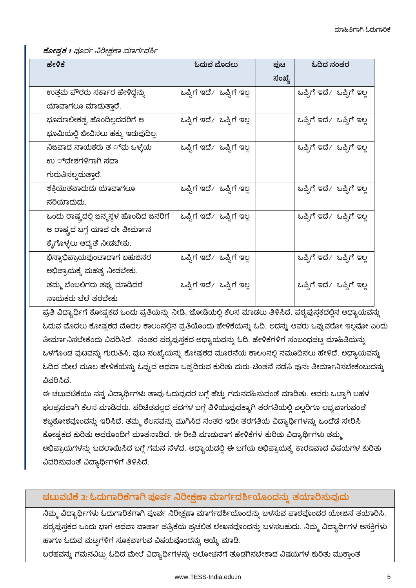ಕೋಷ್ತಕ 1 ಪೂರ್ವ ನಿರೀಕ್ಷಣಾ ಮಾರ್ಗದರ್ಶಿ

| ಹೇಳಿಕೆ                                   | ಓದುವ ಮೊದಲು                | ಪುಟ    | ಓದಿದ ನಂತರ                 |
|------------------------------------------|---------------------------|--------|---------------------------|
|                                          |                           | ಸಂಖ್ಯೆ |                           |
| ಉತ್ತಮ ಪೌರರು ಸರ್ಕಾರ ಹೇಳಿದ್ದನ್ನು           | ಒಪ್ಪಿಗೆ ಇದೆ⁄ ಒಪ್ಪಿಗೆ ಇಲ್ಲ |        | ಒಪ್ಪಿಗೆ ಇದೆ ⁄ಒಪ್ಪಿಗೆ ಇಲ್ಲ |
| ಯಾವಾಗಲೂ ಮಾಡುತ್ತಾರೆ.                      |                           |        |                           |
| ಭೂಮಾಲೀಕತ್ವ ಹೊಂದಿಲ್ಲದವರಿಗೆ ಆ              | ಒಪ್ಪಿಗೆ ಇದೆ ⁄ಒಪ್ಪಿಗೆ ಇಲ್ಲ |        | ಒಪ್ಪಿಗೆ ಇದೆ⁄ ಒಪ್ಪಿಗೆ ಇಲ್ಲ |
| ಭೂಮಿಯಲ್ಲಿ ಜೀವಿಸಲು ಹಕ್ಕು ಇರುವುದಿಲ್ಲ.      |                           |        |                           |
| ನಿಜವಾದ ನಾಯಕರು ತ ್ <i></i> ವು ಒಳ್ಳೆಯ      | ಒಪ್ಪಿಗೆ ಇದೆ ⁄ಒಪ್ಪಿಗೆ ಇಲ್ಲ |        | ಒಪ್ಪಿಗೆ ಇದೆ ⁄ಒಪ್ಪಿಗೆ ಇಲ್ಲ |
| ಉ ್ದೇಶಗಳಿಗಾಗಿ ಸದಾ                        |                           |        |                           |
| ಗುರುತಿಸಲ್ಪದುತ್ತಾರೆ.                      |                           |        |                           |
| ಶಕ್ತಿಯುತವಾದುದು ಯಾವಾಗಲೂ                   | ಒಪ್ಪಿಗೆ ಇದೆ⁄ ಒಪ್ಪಿಗೆ ಇಲ್ಲ |        | ಒಪ್ಪಿಗೆ ಇದೆ ⁄ಒಪ್ಪಿಗೆ ಇಲ್ಲ |
| ಸರಿಯಾದುದು.                               |                           |        |                           |
| ಒಂದು ರಾಷ್ಟ್ರದಲ್ಲಿ ಜನ್ಮಸ್ಥಳ ಹೊಂದಿದ ಜನರಿಗೆ | ಒಪ್ಪಿಗೆ ಇದೆ⁄ ಒಪ್ಪಿಗೆ ಇಲ್ಲ |        | ಒಪ್ಪಿಗೆ ಇದೆ∕ ಒಪ್ಪಿಗೆ ಇಲ್ಲ |
| ಆ ರಾಷ್ಟ್ರದ ಬಗ್ಗೆ ಯಾವ ದೇ ತೀರ್ಮಾನ          |                           |        |                           |
| ಕೈಗೊಳ್ಳಲು ಆದ್ಯತೆ ನೀಡಬೇಕು.                |                           |        |                           |
| ಭಿನ್ನಾಭಿಪ್ರಾಯವುಂಟಾದಾಗ ಬಹುಜನರ             | ಒಪ್ಪಿಗೆ ಇದೆ⁄ ಒಪ್ಪಿಗೆ ಇಲ್ಲ |        | ಒಪ್ಪಿಗೆ ಇದೆ ⁄ಒಪ್ಪಿಗೆ ಇಲ್ಲ |
| ಅಭಿಪ್ರಾಯಕ್ಕೆ ಮಹತ್ವ ನೀಡಬೇಕು.              |                           |        |                           |
| ತಮ್ಮ ಬೆಂಬಲಿಗರು ತಪ್ಪು ಮಾಡಿದರೆ             | ಒಪ್ಪಿಗೆ ಇದೆ⁄ ಒಪ್ಪಿಗೆ ಇಲ್ಲ |        | ಒಪ್ಪಿಗೆ ಇದೆ⁄ ಒಪ್ಪಿಗೆ ಇಲ್ಲ |
| ನಾಯಕರು ಬೆಲೆ ತೆರಬೇಕು                      |                           |        |                           |

ಪ್ರತಿ ವಿದ್ಯಾರ್ಥಿಗೆ ಕೋಷ್ಠಕದ ಒಂದು ಪ್ರತಿಯನ್ನು ನೀಡಿ, ಜೋಡಿಯಲ್ಲಿ ಕೆಲಸ ಮಾಡಲು ತಿಳಿಸಿದೆ. ಪಠ್ಯಪುಸ್ತಕದಲ್ಲಿನ ಅಧ್ಯಾಯವನ್ನು ಓದುವ ಮೊದಲು ಕೋಷ್ಗಕದ ಮೊದಲ ಕಾಲಂನಲ್ಲಿನ ಪ್ರತಿಯೊಂದು ಹೇಳಿಕೆಯನ್ನು ಓದಿ, ಅದನ್ನು ಅವರು ಒಪ್ಪುವರೋ ಇಲ್ಲವೋ ಎಂದು ತೀರ್ಮಾನಿಸಬೇಕೆಂದು ವಿವರಿಸಿದೆ. ನಂತರ ಪಠ್ಯಪುಸ್ತಕದ ಅಧ್ಯಾಯವನ್ನು ಓದಿ, ಹೇಳಿಕೆಗಳಿಗೆ ಸಂಬಂಧಪಟ್ಟ ಮಾಹಿತಿಯನ್ನು ಒಳಗೊಂಡ ಪುಟವನ್ನು ಗುರುತಿಸಿ, ಪುಟ ಸಂಖ್ಯೆಯನ್ನು ಕೋಷ್ಟಕದ ಮೂರನೆಯ ಕಾಲಂನಲ್ಲಿ ನಮೂದಿಸಲು ಹೇಳಿದೆ. ಅಧ್ಯಾಯವನ್ನು ಓದಿದ ಮೇಲೆ ಮೂಲ ಹೇಳಿಕೆಯನ್ನು ಓಪ್ಪುವ ಅಥವಾ ಒಪ್ಪದಿರುವ ಕುರಿತು ಮರು-ಚಿಂತನೆ ನಡೆಸಿ ಪುನಃ ತೀರ್ಮಾನಿಸಬೇಕೆಂಬುದನ್ನು ವಿವರಿಸಿದೆ.

ಈ ಚಟುವಟಿಕೆಯು ನನ್ನ ವಿದ್ಯಾರ್ಥಿಗಳು ತಾವು ಓದುವುದರ ಬಗ್ಗೆ ಹೆಚ್ಚು ಗಮನವಹಿಸುವಂತೆ ಮಾಡಿತು. ಅವರು ಒಟ್ಟಾಗಿ ಬಹಳ ಫಲಪ್ರದವಾಗಿ ಕೆಲಸ ಮಾಡಿದರು. ಪರಿಚಿತವಲ್ಲದ ಪದಗಳ ಬಗ್ಗೆ ತಿಳಿಯುವುದಕ್ಕಾಗಿ ತರಗತಿಯಲ್ಲಿ ಎಲ್ಲರಿಗೂ ಲಭ್ಯವಾಗುವಂತೆ ಶಬ್ದಕೋಶವೊಂದನ್ನು ಇರಿಸಿದೆ. ತಮ್ಮ ಕೆಲಸವನ್ನು ಮುಗಿಸಿದ ನಂತರ ಇಡೀ ತರಗತಿಯ ವಿದ್ಯಾರ್ಥಿಗಳನ್ನು ಒಂದೆಡೆ ಸೇರಿಸಿ ಕೋಷ್ಠಕದ ಕುರಿತು ಅವರೊಂದಿಗೆ ಮಾತನಾಡಿದೆ. ಈ ರೀತಿ ಮಾಡುವಾಗ ಹೇಳಿಕೆಗಳ ಕುರಿತು ವಿದ್ಯಾರ್ಥಿಗಳು ತಮ್ಮ ಅಭಿಪ್ರಾಯಗಳನ್ನು ಬದಲಾಯಿಸಿದ ಬಗ್ಗೆ ಗಮನ ಸೆಳೆದೆ. ಅಧ್ಯಾಯದಲ್ಲಿ ಈ ಬಗೆಯ ಅಭಿಪ್ರಾಯಕ್ಕೆ ಕಾರಣವಾದ ವಿಷಯಗಳ ಕುರಿತು ವಿವರಿಸುವಂತೆ ವಿದ್ಯಾರ್ಥಿಗಳಿಗೆ ತಿಳಿಸಿದೆ.

### ಚಟುವಟಿಕೆ 3: ಓದುಗಾರಿಕೆಗಾಗಿ ಪೂರ್ವ ನಿರೀಕ್ಷಣಾ ಮಾರ್ಗದರ್ಶಿಯೊಂದನ್ನು ತಯಾರಿಸುವುದು

ನಿಮ್ಮ ವಿದ್ಯಾರ್ಥಿಗಳು ಓದುಗಾರಿಕೆಗಾಗಿ ಪೂರ್ವ ನಿರೀಕ್ಷಣಾ ಮಾರ್ಗದರ್ಶಿಯೊಂದನ್ನು ಬಳಸುವ ಪಾಠವೊಂದರ ಯೋಜನೆ ತಯಾರಿಸಿ. ಪಠ್ಯಪುಸ್ತಕದ ಒಂದು ಭಾಗ ಅಥವಾ ವಾರ್ತಾ ಪತ್ರಿಕೆಯ ಪ್ರಚಲಿತ ಲೇಖನವೊಂದನ್ನು ಬಳಸಬಹುದು. ನಿಮ್ಮ ವಿದ್ಯಾರ್ಥಿಗಳ ಆಸಕ್ತಿಗಳು ಹಾಗೂ ಓದುವ ಮಟ್ಟಗಳಿಗೆ ಸೂಕ್ತವಾಗುವ ವಿಷಯವೊಂದನ್ನು ಆಯ್ಕೆ ಮಾಡಿ.

ಬರಹವನ್ನು ಗಮನವಿಟ್ಟು ಓದಿದ ಮೇಲೆ ವಿದ್ಯಾರ್ಥಿಗಳನ್ನು ಆಲೋಚನೆಗೆ ತೊಡಗಿಸಬೇಕಾದ ವಿಷಯಗಳ ಕುರಿತು ಮುಕಾಂತ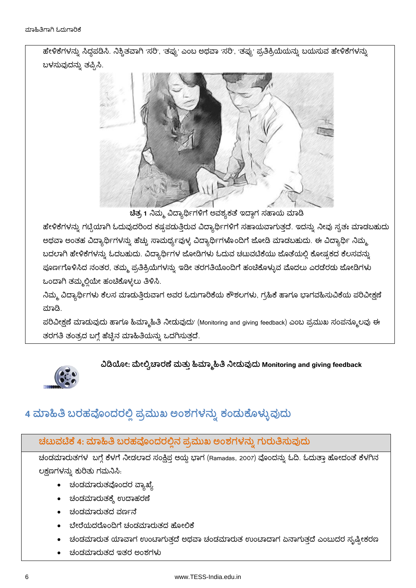ಹೇಳಿಕೆಗಳನ್ನು ಸಿದ್ದಪಡಿಸಿ. ನಿಶ್ಚಿತವಾಗಿ 'ಸರಿ', 'ತಪ್ಪು' ಎಂಬ ಅಥವಾ 'ಸರಿ', 'ತಪ್ಪು' ಪ್ರತಿಕ್ರಿಯೆಯನ್ನು ಬಯಸುವ ಹೇಳಿಕೆಗಳನ್ನು ಬಳಸುವುದನ್ನು ತಪ್ಪಿಸಿ.



ಚಿತ್ರ 1 ನಿಮ್ಮ ವಿದ್ಯಾರ್ಥಿಗಳಿಗೆ ಅವಶ್ಯಕತೆ ಇದ್ದಾಗ ಸಹಾಯ ಮಾಡಿ

ಹೇಳಿಕೆಗಳನ್ನು ಗಟ್ಟಿಯಾಗಿ ಓದುವುದರಿಂದ ಕಷ್ಟಪಡುತ್ತಿರುವ ವಿದ್ಯಾರ್ಥಿಗಳಿಗೆ ಸಹಾಯವಾಗುತ್ತದೆ. ಇದನ್ನು ನೀವು ಸ್ವತಃ ಮಾಡಬಹುದು ಅಥವಾ ಅಂತಹ ವಿದ್ಯಾರ್ಥಿಗಳನ್ನು ಹೆಚ್ಚು ಸಾಮರ್ಥ್ಯವುಳ್ಳ ವಿದ್ಯಾರ್ಥಿಗಳೊಂದಿಗೆ ಜೋಡಿ ಮಾಡಬಹುದು. ಈ ವಿದ್ಯಾರ್ಥಿ ನಿಮ್ಮ ಬದಲಾಗಿ ಹೇಳಿಕೆಗಳನ್ನು ಓದಬಹುದು. ವಿದ್ಯಾರ್ಥಿಗಳ ಜೋಡಿಗಳು ಓದುವ ಚಟುವಟಿಕೆಯು ಜೊತೆಯಲ್ಲಿ ಕೋಷ್ರಕದ ಕೆಲಸವನ್ನು ಪೂರ್ಣಗೊಳಿಸಿದ ನಂತರ, ತಮ್ಮ ಪ್ರತಿಕ್ರಿಯೆಗಳನ್ನು ಇಡೀ ತರಗತಿಯೊಂದಿಗೆ ಹಂಚಿಕೊಳ್ಳುವ ಮೊದಲು ಎರಡೆರಡು ಜೋಡಿಗಳು ಒಂದಾಗಿ ತಮ್ಮಲ್ಲಿಯೇ ಹಂಚಿಕೊಳ್ಳಲು ತಿಳಿಸಿ.

ನಿಮ್ಮ ವಿದ್ಯಾರ್ಥಿಗಳು ಕೆಲಸ ಮಾಡುತ್ತಿರುವಾಗ ಅವರ ಓದುಗಾರಿಕೆಯ ಕೌಶಲಗಳು, ಗ್ರಹಿಕೆ ಹಾಗೂ ಭಾಗವಹಿಸುವಿಕೆಯ ಪರಿವೀಕ್ಷಣೆ ಮಾಡಿ.

ಪರಿವೀಕ್ಷಣೆ ಮಾಡುವುದು ಹಾಗೂ ಹಿಮ್ಮಾಹಿತಿ ನೀಡುವುದು<sup>,</sup> (Monitoring and giving feedback) ಎಂಬ ಪ್ರಮುಖ ಸಂಪನ್ಮೂಲವು ಈ ತರಗತಿ ತಂತ್ರದ ಬಗ್ಗೆ ಹೆಚ್ಚಿನ ಮಾಹಿತಿಯನ್ನು ಒದಗಿಸುತ್ತದೆ.

### **: Monitoring and giving feedback**



# 4 ಮಾಹಿತಿ ಬರಹವೊಂದರಲ್ಲಿ ಪ್ರಮುಖ ಅಂಶಗಳನ್ನು ಕಂಡುಕೊಳ್ಳುವುದು

### **4:**

ಚಂಡಮಾರುತಗಳ ಬಗ್ಗೆ ಕೆಳಗೆ ನೀಡಲಾದ ಸಂಕ್ಷಿಪ್ತ ಆಯ್ದ ಭಾಗ (Ramadas, 2007) ವೊಂದನ್ನು ಓದಿ. ಓದುತ್ತಾ ಹೋದಂತೆ ಕೆಳಗಿನ ಲಕ್ಷಣಗಳನ್ನು ಕುರಿತು ಗಮನಿಸಿ.

- ಚಂಡಮಾರುತವೊಂದರ ವ್ಯಾಖ್ಯೆ
- ಚಂಡಮಾರುತಕ್ಕೆ ಉದಾಹರಣೆ
- ಚಂಡಮಾರುತದ ವರ್ಣನೆ
- ಬೇರೆಯದರೊಂದಿಗೆ ಚಂಡಮಾರುತದ ಹೋಲಿಕೆ
- ಚಂಡಮಾರುತ ಯಾವಾಗ ಉಂಟಾಗುತ್ತದೆ ಅಥವಾ ಚಂಡಮಾರುತ ಉಂಟಾದಾಗ ಏನಾಗುತ್ತದೆ ಎಂಬುದರ ಸೃಷ್ಟೀಕರಣ
- ಚಂಡಮಾರುತದ ಇತರ ಅಂಶಗಳು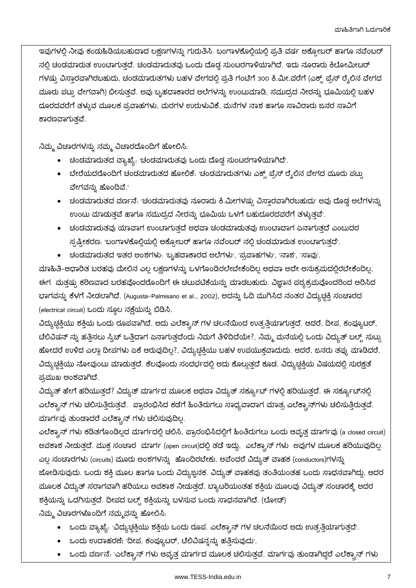ಇವುಗಳಲ್ಲಿ ನೀವು ಕಂದುಹಿಡಿಯಬಹುದಾದ ಲಕ್ಷಣಗಳನ್ನು ಗುರುತಿಸಿ. ಬಂಗಾಳಕೊಲ್ಲಿಯಲ್ಲಿ ಪ್ರತಿ ವರ್ಷ ಅಕ್ಟೋಬರ್ ಹಾಗೂ ನವೆಂಬರ್ ನಲ್ಲಿ ಚಂಡಮಾರುತ ಉಂಟಾಗುತ್ತದೆ. ಚಂಡಮಾರುತವು ಒಂದು ದೊಡ್ಡ ಸುಂಟರಗಾಳಿಯಾಗಿದೆ. ಇದು ನೂರಾರು ಕಿಲೋಮೀಟರ್ ಗಳಷ್ಟು ವಿಸ್ತಾರವಾಗಿರಬಹುದು, ಚಂಡಮಾರುತಗಳು ಬಹಳ ವೇಗದಲ್ಲಿ ಪ್ರತಿ ಗಂಟೆಗೆ 300 ಕಿ.ಮೀ.ವರೆಗೆ (ಎಕ್ಸ್ ಪ್ರೆಸ್ ರೈಲಿನ ವೇಗದ ಮೂರು ಪಟ್ಟು ವೇಗವಾಗಿ) ಬೀಸುತ್ತವೆ. ಅವು ಬೃಹದಾಕಾರದ ಅಲೆಗಳನ್ನು ಉಂಟುಮಾಡಿ, ಸಮುದ್ರದ ನೀರನ್ನು ಭೂಮಿಯಲ್ಲಿ ಬಹಳ ದೂರದವರೆಗೆ ತಳ್ಳುವ ಮೂಲಕ ಪ್ರವಾಹಗಳು, ಮರಗಳ ಉರುಳುವಿಕೆ, ಮನೆಗಳ ನಾಶ ಹಾಗೂ ಸಾವಿರಾರು ಜನರ ಸಾವಿಗೆ ಕಾರಣವಾಗುತವೆ.

ನಿಮ್ಮ ವಿಚಾರಗಳನ್ನು ನಮ್ಮ ವಿಚಾರದೊಂದಿಗೆ ಹೋಲಿಸಿ.

- 
- ಬೇರೆಯದರೊಂದಿಗೆ ಚಂಡಮಾರುತದ ಹೋಲಿಕೆ. ಇಂಡಮಾರುತಗಳು ಎಕ್ಸ್ ಪ್ರೆಸ್ ರೈಲಿನ ವೇಗದ ಮೂರು ಪಟ್ಟು ವೇಗವನ್ನು ಹೊಂದಿವೆ.'
- ಉಂಟು ಮಾಡುತ್ತವೆ ಹಾಗೂ ಸಮುದ್ರದ ನೀರನ್ನು ಭೂಮಿಯ ಒಳಗೆ ಬಹುದೂರದವರೆಗೆ ತಳ್ಳುತ್ತವೆ<sup>,</sup>
- ಚಂಡಮಾರುತವು ಯಾವಾಗ ಉಂಟಾಗುತ್ತದೆ ಅಥವಾ ಚಂಡಮಾಡುತವು ಉಂಟಾದಾಗ ಏನಾಗುತ್ತದೆ ಎಂಬುದರ ಸ್ಪಷ್ಟೀಕರಣ: ಉಂಗಾಳಕೊಲ್ಲಿಯಲ್ಲಿ ಅಕ್ಟೋಬರ್ ಹಾಗೂ ನವೆಂಬರ್ ನಲ್ಲಿ ಚಂಡಮಾರುತ ಉಂಟಾಗುತ್ತದೆ'.
- ಚಂಡಮಾರುತದ ಇತರ ಅಂಶಗಳು: ಬ್ಬಹದಾಕಾರದ ಅಲೆಗಳು', 'ಪ್ರವಾಹಗಳು', 'ನಾಶ', 'ಸಾವು'.

ಮಾಹಿತಿ-ಆಧಾರಿತ ಬರಹವು ಮೇಲಿನ ಎಲ್ಲ ಲಕ್ಷಣಗಳನ್ನು ಒಳಗೊಂಡಿರಲೇಬೇಕೆಂದಿಲ್ಲ ಅಥವಾ ಅದೇ ಅನುಕ್ರಮದಲ್ಲಿರಬೇಕೆಂದಿಲ್ಲ. ಈಗರಮತ್ತಷ್ಟು ಕಠಿಣವಾದ ಬರಹವೊಂದರೊಂದಿಗೆ ಈ ಚಟುವಟಿಕೆಯನ್ನು ಮಾಡಬಹುದು. ವಿಜ್ಞಾನ ಪಠ್ಯಕ್ರಮವೊಂದರಿಂದ ಆರಿಸಿದ ಭಾಗವನ್ನು ಕೆಳಗೆ ನೀಡಲಾಗಿದೆ. (Augusta-Palmisano et al., 2002), ಅದನ್ನು ಓದಿ ಮುಗಿಸಿದ ನಂತರ ವಿದ್ಯುಚ್ಛಕ್ತಿ ಸಂಚಾರದ (electrical circuit) ಒಂದು ಸ್ಥೂಲ ನಕ್ಷೆಯನ್ನು ಬಿಡಿಸಿ.

ವಿದ್ಯುಚ್ಛಕ್ತಿಯು ಶಕ್ತಿಯ ಒಂದು ರೂಪವಾಗಿದೆ. ಅದು ಎಲೆಕ್ಟ್ರಾನ್ ಗಳ ಚಲನೆಯಿಂದ ಉತ್ಪತ್ತಿಯಾಗುತ್ತದೆ. ಆದರೆ, ದೀಪ, ಕಂಪ್ಯೂಟರ್, ಟೆಲಿವಿಷನ್ ನ್ನು ಹತ್ತಿಸಲು ಸ್ವಿಚ್ ಒತ್ತಿದಾಗ ಏನಾಗುತ್ತದೆಂದು ನಿಮಗೆ ತಿಳಿದಿದೆಯೇ?, ನಿಮ್ಮ ಮನೆಯಲ್ಲಿ ಒಂದು ವಿದ್ಯುತ್ ಬಲ್ಬ್ ಸುಟ್ರು ಹೋದರೆ ಉಳಿದ ಎಲ್ಲಾ ದೀಪಗಳು ಏಕೆ ಆರುವುದಿಲ್ಲ?, ವಿದ್ಯುಚ್ಚಕ್ತಿಯು ಬಹಳ ಉಪಯುಕ್ತವಾದುದು. ಆದರೆ, ಜನರು ತಪ್ಪು ಮಾಡಿದರೆ, ವಿದ್ಯುಚ್ಚಕ್ತಿಯು ನೋವುಂಟು ಮಾಡುತ್ತದೆ. ಕೆಲವೊಂದು ಸಂದರ್ಭದಲ್ಲಿ ಅದು ಕೊಲ್ಲುತ್ತದೆ ಕೂಡ. ವಿದ್ಯುಚ್ಚಕ್ತಿಯ ವಿಷಯದಲ್ಲಿ ಸುರಕ್ಷತೆ ಪ್ರಮುಖ ಅಂಶವಾಗಿದೆ.

ವಿದ್ಯುತ್ ಹೇಗೆ ಹರಿಯುತ್ತದೆ? ವಿದ್ಯುತ್ ಮಾರ್ಗದ ಮೂಲಕ ಅಥವಾ ವಿದ್ಯುತ್ ಸರ್ಕ್ಯೂಟ್ ಗಳಲ್ಲಿ ಹರಿಯುತ್ತದೆ. ಈ ಸರ್ಕ್ಯೂಟ್ನಲ್ಲಿ ಎಲೆಕ್ಟ್ರಾನ್ ಗಳು ಚಲಿಸುತ್ತಿರುತ್ತವೆ. ಪ್ರಾರಂಭಿಸಿದ ಕಡೆಗೆ ಹಿಂತಿರುಗಲು ಸಾಧ್ಯವಾದಾಗ ಮಾತ್ರ ಎಲೆಕ್ಟ್ರಾನ್ಗಳು ಚಲಿಸುತ್ತಿರುತ್ತವೆ. ಮಾರ್ಗವು ತುಂಡಾದರೆ ಎಲೆಕ್ಟ್ರಾನ್ ಗಳು ಚಲಿಸುವುದಿಲ್ಲ.

ಎಲೆಕ್ಟಾನ್ ಗಳು ಕಡಿತಗೊಂಡಿಲ್ಲದ ಮಾರ್ಗದಲ್ಲಿ ಚಲಿಸಿ, ಪ್ರಾರಂಭಿಸಿದಲ್ಲಿಗೆ ಹಿಂತಿರುಗಲು ಒಂದು ಆವೃತ್ತ ಮಾರ್ಗವು (a closed circuit) ಅವಕಾಶ ನೀಡುತ್ತದೆ. ಮುಕ್ತ ಸಂಚಾರ ಮಾರ್ಗ (open circuit)ದಲ್ಲಿ ತಡೆ ಇದ್ದು, ಎಲೆಕ್ಟ್ರಾನ್ ಗಳು ಅವುಗಳ ಮೂಲಕ ಹರಿಯುವುದಿಲ್ಲ. ಎಲ್ಲ ಸಂಚಾರಗಳು (circuits) ಮೂರು ಅಂಶಗಳನ್ನು ಹೊಂದಿರಬೇಕು. ಅವೆಂದರೆ ವಿದ್ಯುತ್ ವಾಹಕ (conductors)ಗಳನ್ನು ಜೋಡಿಸುವುದು. ಒಂದು ಶಕ್ತಿ ಮೂಲ ಹಾಗೂ ಒಂದು ವಿದ್ಯುಜ್ಜನಕ. ವಿದ್ಯುತ್ ವಾಹಕವು ತಂತಿಯಂತಹ ಒಂದು ಸಾಧನವಾಗಿದ್ದು, ಅದರ ಮೂಲಕ ವಿದ್ಯುತ್ ಸರಾಗವಾಗಿ ಹರಿಯಲು ಅವಕಾಶ ನೀಡುತ್ತದೆ. ಬ್ಯಾಟರಿಯಂತಹ ಶಕ್ತಿಯ ಮೂಲವು ವಿದ್ಯುತ್ ಸಂಚಾರಕ್ಕೆ ಅದರ ಶಕ್ತಿಯನ್ನು ಒದಗಿಸುತ್ತದೆ. ದೀಪದ ಬಲ್ಬ್ ಶಕ್ತಿಯನ್ನು ಬಳಸುವ ಒಂದು ಸಾಧನವಾಗಿದೆ. (ಲೋಡ್)

ನಿಮ್ಮ ವಿಚಾರಗಳೊಂದಿಗೆ ನಮ್ಮವನ್ನು ಹೋಲಿಸಿ.

- ಒಂದು ವ್ಯಾಖ್ಯೆ. 'ವಿದ್ಯುಚ್ಚಕ್ತಿಯು ಶಕ್ತಿಯ ಒಂದು ರೂಪ. ಎಲೆಕ್ಟ್ರಾನ್ ಗಳ ಚಲನೆಯಿಂದ ಅದು ಉತ್ಪತ್ತಿಯಾಗುತ್ತದೆ'.
- ಒಂದು ಉದಾಹರಣೆ: 'ದೀಪ, ಕಂಪ್ಯೂಟರ್, ಟೆಲಿವಿಷನ್ನನ್ನು ಹತ್ತಿಸುವುದು'.
- ಒಂದು ವರ್ಣನೆ: 'ಎಲೆಕ್ಟ್ರಾನ್ ಗಳು ಆವೃತ್ತ ಮಾರ್ಗದ ಮೂಲಕ ಚಲಿಸುತ್ತವೆ. ಮಾರ್ಗವು ತುಂಡಾಗಿದ್ದರೆ ಎಲೆಕ್ಟ್ರಾನ್ ಗಳು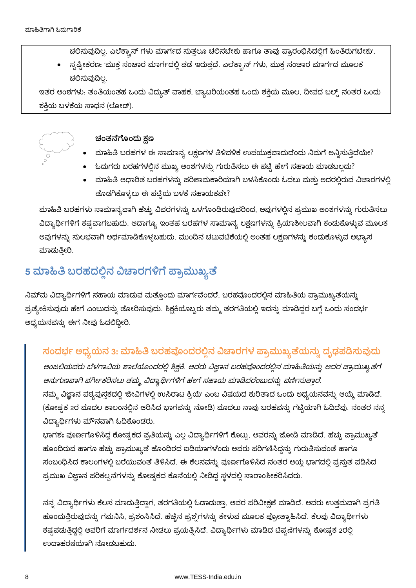ಚಲಿಸುವುದಿಲ್ಲ. ಎಲೆಕ್ಟ್ರಾನ್ ಗಳು ಮಾರ್ಗದ ಸುತ್ತಲೂ ಚಲಿಸಬೇಕು ಹಾಗೂ ತಾವು ಪ್ರಾರಂಭಿಸಿದಲ್ಲಿಗೆ ಹಿಂತಿರುಗಬೇಕು<sup>,</sup>

• ಸ್ಪಷ್ಟೀಕರಣ: 'ಮುಕ್ತ ಸಂಚಾರ ಮಾರ್ಗದಲ್ಲಿ ತಡೆ ಇರುತ್ತದೆ. ಎಲೆಕ್ಟ್ರಾನ್ ಗಳು, ಮುಕ್ತ ಸಂಚಾರ ಮಾರ್ಗದ ಮೂಲಕ ಚಲಿಸುವುದಿಲ್ಲ.

ಇತರ ಅಂಶಗಳು: ತಂತಿಯಂತಹ ಒಂದು ವಿದ್ಯುತ್ ವಾಹಕ, ಬ್ಯಾಟರಿಯಂತಹ ಒಂದು ಶಕ್ತಿಯ ಮೂಲ, ದೀಪದ ಬಲ್ಸ್ ನಂತರ ಒಂದು ಶಕಿಯ ಬಳಕೆಯ ಸಾಧನ (ಲೋಡ್).



#### ಚಂತನೆಗೊಂದು ಕ್ಷಣ

- ಮಾಹಿತಿ ಬರಹಗಳ ಈ ಸಾಮಾನ್ಯ ಲಕ್ಷಣಗಳ ತಿಳಿವಳಿಕೆ ಉಪಯುಕ್ತವಾದುದೆಂದು ನಿಮಗೆ ಅನ್ನಿಸುತ್ತಿದೆಯೇ?
- ಓದುಗರು ಬರಹಗಳಲ್ಲಿನ ಮುಖ್ಯ ಅಂಶಗಳನ್ನು ಗುರುತಿಸಲು ಈ ಪಟ್ಟಿ ಹೇಗೆ ಸಹಾಯ ಮಾಡಬಲ್ಲದು?
- ಮಾಹಿತಿ ಆಧಾರಿತ ಬರಹಗಳನ್ನು ಪರಿಣಾಮಕಾರಿಯಾಗಿ ಬಳಸಿಕೊಂದು ಓದಲು ಮತ್ತು ಅದರಲ್ಲಿರುವ ವಿಚಾರಗಳಲ್ಲಿ ತೊಡಗಿಕೊಳ್ಳಲು ಈ ಪಟ್ಟಿಯ ಬಳಕೆ ಸಹಾಯಕವೇ?

ಮಾಹಿತಿ ಬರಹಗಳು ಸಾಮಾನ್ಯವಾಗಿ ಹೆಚ್ಚು ವಿವರಗಳನ್ನು ಒಳಗೊಂಡಿರುವುದರಿಂದ, ಅವುಗಳಲ್ಲಿನ ಪ್ರಮುಖ ಅಂಶಗಳನ್ನು ಗುರುತಿಸಲು ವಿದ್ಯಾರ್ಥಿಗಳಿಗೆ ಕಷ್ಟವಾಗಬಹುದು. ಆದಾಗ್ಯೂ ಇಂತಹ ಬರಹಗಳ ಸಾಮಾನ್ಯ ಲಕ್ಷಣಗಳನ್ನು ಕ್ರಿಯಾಶೀಲವಾಗಿ ಕಂಡುಕೊಳ್ಳುವ ಮೂಲಕ ಅವುಗಳನ್ನು ಸುಲಭವಾಗಿ ಅರ್ಥಮಾಡಿಕೊಳ್ಳಬಹುದು. ಮುಂದಿನ ಚಟುವಟಿಕೆಯಲ್ಲಿ ಅಂತಹ ಲಕ್ಷಣಗಳನ್ನು ಕಂಡುಕೊಳ್ಳುವ ಅಭ್ಯಾಸ ಮಾದುತ್ತೀರಿ.

# 5 ಮಾಹಿತಿ ಬರಹದಲ್ಲಿನ ವಿಚಾರಗಳಿಗೆ ಪ್ರಾಮುಖ್ಯತೆ

ನಿಮ್ಮ ವಿದ್ಯಾರ್ಥಿಗಳಿಗೆ ಸಹಾಯ ಮಾಡುವ ಮತ್ತೊಂದು ಮಾರ್ಗವೆಂದರೆ, ಬರಹವೊಂದರಲ್ಲಿನ ಮಾಹಿತಿಯ ಪ್ರಾಮುಖ್ಯತೆಯನ್ನು ಪ್ರತ್ಯೇಕಿಸುವುದು ಹೇಗೆ ಎಂಬುದನ್ನು ತೋರಿಸುವುದು. ಶಿಕ್ಷಕಿಯೊಬ್ಬರು ತಮ್ಮ ತರಗತಿಯಲ್ಲಿ ಇದನ್ನು ಮಾಡಿದ್ದರ ಬಗ್ಗೆ ಒಂದು ಸಂದರ್ಭ ಅಧ್ಯಯನವನ್ನು ಈಗ ನೀವು ಓದಲಿದ್ದೀರಿ.

### ಸಂದರ್ಭ ಅಧ್ಯಯನ 3: ಮಾಹಿತಿ ಬರಹವೊಂದರಲ್ಲಿನ ವಿಚಾರಗಳ ಪ್ರಾಮುಖ್ಯತೆಯನ್ನು ದೃಢಪಡಿಸುವುದು

ಅಂಜಲಿಯವರು ಬೆಳಗಾವಿಯ ಶಾಲೆಯೊಂದರಲ್ಲಿ ಶಿಕ್ಷಕಿ. ಅವರು ವಿಜ್ಞಾನ ಬರಹವೊಂದರಲ್ಲಿನ ಮಾಹಿತಿಯನ್ನು ಅದರ ಪ್ರಾಮುಖ್ಯತೆಗೆ ಅನುಗುಣವಾಗಿ ವರ್ಗೀಕರಿಸಲು ತಮ್ಮ ವಿದ್ಯಾರ್ಥಿಗಳಿಗೆ ಹೇಗೆ ಸಹಾಯ ಮಾಡಿದರೆಂಬುದನ್ನು ವರ್ಣಿಸುತ್ತಾರೆ. ನಮ್ಮ ವಿಜ್ಞಾನ ಪಠ್ಯಪುಸ್ತಕದಲ್ಲಿ ಜೀವಿಗಳಲ್ಲಿ ಉಸಿರಾಟ ಕ್ರಿಯೆ<sup>,</sup> ಎಂಬ ವಿಷಯದ ಕುರಿತಾದ ಒಂದು ಅಧ್ಯಯನವನ್ನು ಆಯ್ಕೆ ಮಾಡಿದೆ. (ಕೋಷ್ಠಕ 2ರ ಮೊದಲ ಕಾಲಂನಲ್ಲಿನ ಆರಿಸಿದ ಭಾಗವನ್ನು ನೋಡಿ) ಮೊದಲು ನಾವು ಬರಹವನ್ನು ಗಟ್ಟಿಯಾಗಿ ಓದಿದೆವು. ನಂತರ ನನ್ನ ವಿದ್ಯಾರ್ಥಿಗಳು ಮೌನವಾಗಿ ಓದಿಕೊಂಡರು.

ಭಾಗಶಃ ಪೂರ್ಣಗೊಳಿಸಿದ್ದ ಕೋಷ್ಟಕದ ಪ್ರತಿಯನ್ನು ಎಲ್ಲ ವಿದ್ಯಾರ್ಥಿಗಳಿಗೆ ಕೊಟ್ಟು, ಅವರನ್ನು ಜೋಡಿ ಮಾಡಿದೆ. ಹೆಚ್ಚು ಪ್ರಾಮುಖ್ಯತೆ ಹೊಂದಿರುವ ಹಾಗೂ ಹೆಚ್ಚು ಪ್ರಾಮುಖ್ಯತೆ ಹೊಂದಿರದ ಐಡಿಯಾಗಳೆಂದು ಅವರು ಪರಿಗಣಿಸಿದ್ದನ್ನು ಗುರುತಿಸುವಂತೆ ಹಾಗೂ ಸಂಬಂಧಿಸಿದ ಕಾಲಂಗಳಲ್ಲಿ ಬರೆಯುವಂತೆ ತಿಳಿಸಿದೆ. ಈ ಕೆಲಸವನ್ನು ಪೂರ್ಣಗೊಳಿಸಿದ ನಂತರ ಆಯ್ದ ಭಾಗದಲ್ಲಿ ಪ್ರಸ್ತುತ ಪಡಿಸಿದ ಪ್ರಮುಖ ವಿಜ್ಞಾನ ಪರಿಕಲ್ಪನೆಗಳನ್ನು ಕೋಷ್ಟಕದ ಕೊನೆಯಲ್ಲಿ ನೀಡಿದ್ದ ಸ್ಥಳದಲ್ಲಿ ಸಾರಾಂಶೀಕರಿಸಿದರು.

ನನ್ನ ವಿದ್ಯಾರ್ಥಿಗಳು ಕೆಲಸ ಮಾಡುತ್ತಿದ್ದಾಗ, ತರಗತಿಯಲ್ಲಿ ಓಡಾಡುತ್ತಾ, ಅವರ ಪರಿವೀಕ್ಷಣೆ ಮಾಡಿದೆ. ಅವರು ಉತ್ತಮವಾಗಿ ಪ್ರಗತಿ ಹೊಂದುತ್ತಿರುವುದನ್ನು ಗಮನಿಸಿ, ಪ್ರಶಂಸಿಸಿದೆ. ಹೆಚ್ಚಿನ ಪ್ರಶ್ನೆಗಳನ್ನು ಕೇಳುವ ಮೂಲಕ ಪ್ರೋತ್ಸಾಹಿಸಿದೆ. ಕೆಲವು ವಿದ್ಯಾರ್ಥಿಗಳು ಕಷ್ಟಪಡುತ್ತಿದ್ದಲ್ಲಿ ಅವರಿಗೆ ಮಾರ್ಗದರ್ಶನ ನೀಡಲು ಪ್ರಯತ್ನಿಸಿದೆ. ವಿದ್ಯಾರ್ಥಿಗಳು ಮಾಡಿದ ಟಿಪ್ಪಣಿಗಳನ್ನು ಕೋಷ್ಟಕ 2ರಲ್ಲಿ ಉದಾಹರಣೆಯಾಗಿ ನೋಡಬಹುದು.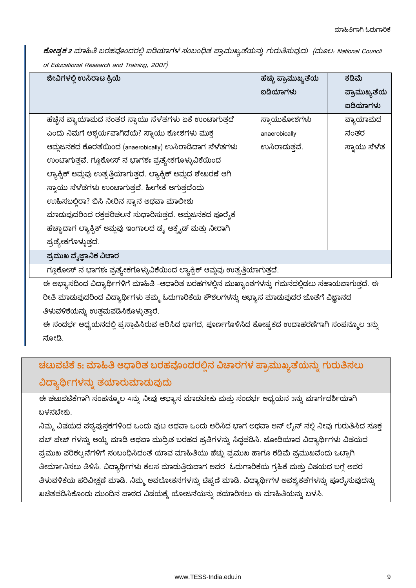ಕೋಷ್ಟಕ 2 ಮಾಹಿತಿ ಬರಹವೊಂದರಲ್ಲಿ ಐಡಿಯಾಗಳ ಸಂಬಂಧಿತ ಪ್ರಾಮುಖ್ಯತೆಯನ್ನು ಗುರುತಿಸುವುದು (ಮೂಲ: National Council of Educational Research and Training, 2007)

| ಜೀವಿಗಳಲ್ಲಿ ಉಸಿರಾಟ ಕ್ರಿಯೆ                                               | ಹೆಚ್ಚು ಪ್ರಾಮುಖ್ಯತೆಯ | ಕಡಿಮೆ        |  |
|------------------------------------------------------------------------|---------------------|--------------|--|
|                                                                        | ಐಡಿಯಾಗಳು            | ಪ್ರಾಮುಖ್ಯತೆಯ |  |
|                                                                        |                     | ಐಡಿಯಾಗಳು     |  |
| ಹೆಚ್ಚಿನ ವ್ಯಾಯಾಮದ ನಂತರ ಸ್ವಾಯು ಸೆಳೆತಗಳು ಏಕೆ ಉಂಟಾಗುತ್ತದೆ                  | ಸ್ನಾಯುಕೋಶಗಳು        | ವ್ಯಾಯಾಮದ     |  |
| ಎಂದು ನಿಮಗೆ ಆಶ್ಚರ್ಯವಾಗಿದೆಯೆ? ಸ್ವಾಯು ಕೋಶಗಳು ಮುಕ್ತ                        | anaerobically       | ನಂತರ         |  |
| ಆಮ್ಲಜನಕದ ಕೊರತೆಯಿಂದ (anaerobically) ಉಸಿರಾಡಿದಾಗ ಸೆಳೆತಗಳು                 | ಉಸಿರಾದುತ್ತವೆ.       | ಸ್ನಾಯು ಸೆಳೆತ |  |
| ಉಂಟಾಗುತ್ತವೆ. ಗ್ಲೂಕೋಸ್ ನ ಭಾಗಶಃ ಪ್ರತ್ಯೇಕಗೊಳ್ಳುವಿಕೆಯಿಂದ                   |                     |              |  |
| ಲ್ಯಾಕ್ಸಿಕ್ ಆಮ್ಲವು ಉತ್ಪತ್ತಿಯಾಗುತ್ತದೆ. ಲ್ಯಾಕ್ಸಿಕ್ ಆಮ್ಲದ ಶೇಖರಣೆ ಆಗಿ       |                     |              |  |
| ಸ್ಥಾಯು ಸೆಳೆತಗಳು ಉಂಟಾಗುತ್ತವೆ. ಹೀಗೇಕೆ ಆಗುತ್ತದೆಂದು                        |                     |              |  |
| ಉಹಿಸಬಲ್ಲಿರಾ? ಬಿಸಿ ನೀರಿನ ಸ್ವಾನ ಅಥವಾ ಮಾಲೀಶು                              |                     |              |  |
| ಮಾಡುವುದರಿಂದ ರಕ್ತಪರಿಚಲನೆ ಸುಧಾರಿಸುತ್ತದೆ. ಆಮ್ಲಜನಕದ ಪೂರೈಕೆ                 |                     |              |  |
| ಹೆಚ್ಚಾದಾಗ ಲ್ಯಾಕ್ರಿಕ್ ಆಮ್ಲವು ಇಂಗಾಲದ ಡ್ಯೆ ಆಕ್ಸೈಡ್ ಮತ್ತು ನೀರಾಗಿ           |                     |              |  |
| ಪ್ರತ್ಯೇಕಗೊಳ್ಳುತ್ತದೆ.                                                   |                     |              |  |
| ಪ್ರಮುಖ ವೈಜ್ಞಾನಿಕ ವಿಚಾರ                                                 |                     |              |  |
| ಗೂಕೋಸ್ ನ ಭಾಗಶಃ ಪ್ರತ್ಯೇಕಗೊಳ್ಳುವಿಕೆಯಿಂದ ಲ್ಯಾಕ್ಸಿಕ್ ಆಮ್ತವು ಉತ್ತತಿಯಾಗುತದೆ. |                     |              |  |

ಈ ಅಭ್ಯಾಸದಿಂದ ವಿದ್ಯಾರ್ಥಿಗಳಿಗೆ ಮಾಹಿತಿ -ಆಧಾರಿತ ಬರಹಗಳಲ್ಲಿನ ಮುಖ್ಯಾಂಶಗಳನ್ನು ಗಮನದಲ್ಲಿಡಲು ಸಹಾಯವಾಗುತ್ತದೆ. ಈ ರೀತಿ ಮಾಡುವುದರಿಂದ ವಿದ್ಯಾರ್ಥಿಗಳು ತಮ್ಮ ಓದುಗಾರಿಕೆಯ ಕೌಶಲಗಳನ್ನು ಅಭ್ಯಾಸ ಮಾಡುವುದರ ಜೊತೆಗೆ ವಿಜ್ಞಾನದ ತಿಳುವಳಿಕೆಯನ್ನು ಉತ್ತಮಪಡಿಸಿಕೊಳ್ಳುತ್ತಾರೆ.

ಈ ಸಂದರ್ಭ ಅಧ್ಯಯನದಲ್ಲಿ ಪ್ರಸ್ತಾಪಿಸಿರುವ ಆರಿಸಿದ ಭಾಗದ, ಪೂರ್ಣಗೊಳಿಸಿದ ಕೋಷ್ಪಕದ ಉದಾಹರಣೆಗಾಗಿ ಸಂಪನ್ಮೂಲ 3ನ್ನು ನೋಡಿ.

# ಚಟುವಟಿಕೆ 5: ಮಾಹಿತಿ ಆಧಾರಿತ ಬರಹವೊಂದರಲ್ಲಿನ ವಿಚಾರಗಳ ಪ್ರಾಮುಖ್ಯತೆಯನ್ನು ಗುರುತಿಸಲು ವಿದ್ಯಾರ್ಥಿಗಳನ್ನು ತಯಾರುಮಾಡುವುದು

ಈ ಚಟುವಟಿಕೆಗಾಗಿ ಸಂಪನ್ಮೂಲ 4ನ್ನು ನೀವು ಅಭ್ಯಾಸ ಮಾಡಬೇಕು ಮತ್ತು ಸಂದರ್ಭ ಅಧ್ಯಯನ 3ನ್ನು ಮಾರ್ಗದರ್ಶಿಯಾಗಿ ಬಳಸಬೇಕು.

ನಿಮ್ಮ ವಿಷಯದ ಪಠ್ಯಪುಸ್ತಕಗಳಿಂದ ಒಂದು ಪುಟ ಅಥವಾ ಒಂದು ಆರಿಸಿದ ಭಾಗ ಅಥವಾ ಆನ್ ಲೈನ್ ನಲ್ಲಿ ನೀವು ಗುರುತಿಸಿದ ಸೂಕ್ತ ವೆಬ್ ಪೇಜ್ ಗಳನ್ನು ಆಯ್ಕೆ ಮಾಡಿ ಅಥವಾ ಮುದ್ರಿತ ಬರಹದ ಪ್ರತಿಗಳನ್ನು ಸಿದ್ಧಪಡಿಸಿ. ಜೋಡಿಯಾದ ವಿದ್ಯಾರ್ಥಿಗಳು ವಿಷಯದ ಪ್ರಮುಖ ಪರಿಕಲ್ಪನೆಗಳಿಗೆ ಸಂಬಂಧಿಸಿದಂತೆ ಯಾವ ಮಾಹಿತಿಯು ಹೆಚ್ಚು ಪ್ರಮುಖ ಹಾಗೂ ಕಡಿಮೆ ಪ್ರಮುಖವೆಂದು ಒಟ್ಟಾಗಿ ತೀರ್ಮಾನಿಸಲು ತಿಳಿಸಿ. ವಿದ್ಯಾರ್ಥಿಗಳು ಕೆಲಸ ಮಾಡುತ್ತಿರುವಾಗ ಅವರ ಓದುಗಾರಿಕೆಯ ಗ್ರಹಿಕೆ ಮತ್ತು ವಿಷಯದ ಬಗ್ಗೆ ಅವರ ತಿಳುವಳಿಕೆಯ ಪರಿವೀಕ್ಷಣೆ ಮಾಡಿ. ನಿಮ್ಮ ಅವಲೋಕನಗಳನ್ನು ಟಿಪ್ಪಣಿ ಮಾಡಿ. ವಿದ್ಯಾರ್ಥಿಗಳ ಅವಶ್ಯಕತೆಗಳನ್ನು ಪೂರೈಸುವುದನ್ನು ಖಚಿತಪಡಿಸಿಕೊಂಡು ಮುಂದಿನ ಪಾಠದ ವಿಷಯಕ್ಕೆ ಯೋಜನೆಯನ್ನು ತಯಾರಿಸಲು ಈ ಮಾಹಿತಿಯನ್ನು ಬಳಸಿ.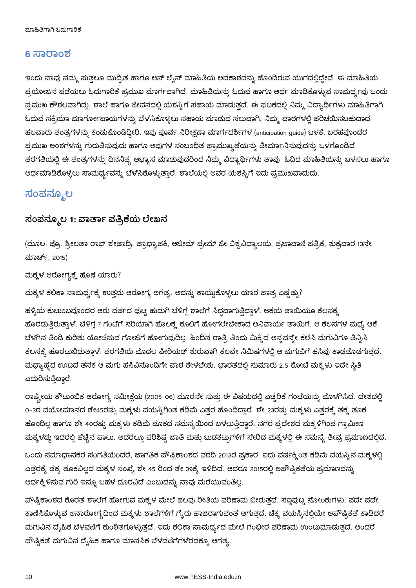#### 6 ಸಾರಾಂಶ

ಇಂದು ನಾವು ನಮ್ಮ ಸುತ್ತಲೂ ಮುದ್ರಿತ ಹಾಗೂ ಆನ್ ಲೈನ್ ಮಾಹಿತಿಯ ಅವಕಾಶವನ್ನು ಹೊಂದಿರುವ ಯುಗದಲ್ಲಿದ್ದೇವೆ. ಈ ಮಾಹಿತಿಯ ಪ್ರಯೋಜನ ಪಡೆಯಲು ಓದುಗಾರಿಕೆ ಪ್ರಮುಖ ಮಾರ್ಗವಾಗಿದೆ. ಮಾಹಿತಿಯನ್ನು ಓದುವ ಹಾಗೂ ಅರ್ಥ ಮಾಡಿಕೊಳ್ಳುವ ಸಾಮರ್ಥ್ಯವು ಒಂದು ಪ್ರಮುಖ ಕೌಶಲವಾಗಿದ್ದು, ಶಾಲೆ ಹಾಗೂ ಜೀವನದಲ್ಲಿ ಯಶಸ್ಸಿಗೆ ಸಹಾಯ ಮಾಡುತ್ತದೆ. ಈ ಘಟಕದಲ್ಲಿ ನಿಮ್ಮ ವಿದ್ಯಾರ್ಥಿಗಳು ಮಾಹಿತಿಗಾಗಿ ಓದುವ ಸಕ್ರಿಯಾ ಮಾರ್ಗೋಪಾಯಗಳನ್ನು ಬೆಳೆಸಿಕೊಳ್ಳಲು ಸಹಾಯ ಮಾಡುವ ಸಲುವಾಗಿ, ನಿಮ್ಮ ಪಾಠಗಳಲ್ಲಿ ಪರಿಚಯಿಸಬಹುದಾದ ಹಲವಾರು ತಂತ್ರಗಳನ್ನು ಕಂಡುಕೊಂಡಿದ್ದೀರಿ. ಇವು ಪೂರ್ವ ನಿರೀಕ್ಷಣಾ ಮಾರ್ಗದರ್ಶಿಗಳ (anticipation guide) ಬಳಕೆ, ಬರಹವೊಂದರ ಪ್ರಮುಖ ಅಂಶಗಳನ್ನು ಗುರುತಿಸುವುದು ಹಾಗೂ ಅವುಗಳ ಸಂಬಂಧಿತ ಪ್ರಾಮುಖ್ಯತೆಯನ್ನು ತೀರ್ಮಾನಿಸುವುದನ್ನು ಒಳಗೊಂಡಿದೆ. ತರಗತಿಯಲ್ಲಿ ಈ ತಂತ್ರಗಳನ್ನು ದಿನನಿತ್ಯ ಅಭ್ಯಾಸ ಮಾಡುವುದರಿಂದ ನಿಮ್ಮ ವಿದ್ಯಾರ್ಥಿಗಳು ತಾವು ಓದಿದ ಮಾಹಿತಿಯನ್ನು ಬಳಸಲು ಹಾಗೂ ಅರ್ಥಮಾಡಿಕೊಳ್ಳಲು ಸಾಮರ್ಥ್ಯವನ್ನು ಬೆಳೆಸಿಕೊಳ್ಳುತ್ತಾರೆ. ಶಾಲೆಯಲ್ಲಿ ಅವರ ಯಶಸ್ಸ್ರಿಗೆ ಇದು ಪ್ರಮುಖವಾದುದು.

### ಸಂಪನ್ಮೂಲ

#### ಸಂಪನ್ಮೂಲ 1: ವಾರ್ತಾ ಪತ್ರಿಕೆಯ ಲೇಖನ

(ಮೂಲ: ಪ್ರೊ. ಶ್ರೀಲತಾ ರಾವ್ ಶೇಷಾದ್ರಿ, ಪ್ರಾಧ್ಯಾಪಕಿ, ಅಜೀಮ್ ಪ್ರೇಮ್ ಜೀ ವಿಶ್ವವಿದ್ಯಾಲಯ, ಪ್ರಜಾವಾಣಿ ಪತ್ರಿಕೆ, ಶುಕ್ರವಾರ 13ನೇ ಮಾರ್ಚ್, 2015)

ಮಕ್ಕಳ ಆರೋಗ್ಯಕ್ಕೆ ಹೊಣೆ ಯಾರು?

ಮಕ್ಕಳ ಕಲಿಕಾ ಸಾಮರ್ಥ್ಯಕ್ಕೆ ಉತ್ತಮ ಆರೋಗ್ಯ ಅಗತ್ಯ. ಅದನ್ನು ಕಾಯ್ದುಕೊಳ್ಳಲು ಯಾರ ಪಾತ್ರ ಎಷ್ಟೆಷ್ಟು?

ಹಳ್ಳಿಯ ಕುಟುಂಬವೊಂದರ ಆರು ವರ್ಷದ ಪುಟ್ಟ ಹುಡುಗಿ ಬೆಳಿಗ್ಗೆ ಶಾಲೆಗೆ ಸಿದ್ಧವಾಗುತ್ತಿದ್ದಾಳೆ. ಆಕೆಯ ತಾಯಿಯೂ ಕೆಲಸಕ್ಕೆ ಹೊರಡುತ್ತಿರುತ್ತಾಳೆ. ಬೆಳಿಗ್ಗೆ 7 ಗಂಟೆಗೆ ಸರಿಯಾಗಿ ಹೊಲಕ್ಕೆ ಕೂಲಿಗೆ ಹೋಗಲೇಬೇಕಾದ ಅನಿವಾರ್ಯ ತಾಯಿಗೆ. ಆ ಕೆಲಸಗಳ ಮಧ್ಯೆ ಆಕೆ ಬೆಳಗಿನ ತಿಂಡಿ ಕುರಿತು ಯೋಚಿಸುವ ಗೋಜಿಗೆ ಹೋಗುವುದಿಲ್ಲ. ಹಿಂದಿನ ರಾತ್ರಿ ತಿಂದು ಮಿಕ್ಕಿದ ಅನ್ನವನ್ನೇ ಕಲೆಸಿ ಮಗುವಿಗೂ ತಿನ್ನಿಸಿ ಕೆಲಸಕ್ಕೆ ಹೊರಟುಬಿಡುತ್ತಾಳೆ. ತರಗತಿಯ ಮೊದಲ ಪೀರಿಯಡ್ ಶುರುವಾಗಿ ಕೆಲವೇ ನಿಮಿಷಗಳಲ್ಲಿ ಆ ಮಗುವಿಗೆ ಹಸಿವು ಕಾಡತೊಡಗುತ್ತದೆ. ಮಧ್ಯಾಹ್ನದ ಉುಟದ ತನಕ ಆ ಮಗು ಹಸಿವಿನೊಂದಿಗೇ ಪಾಠ ಕೇಳಬೇಕು. ಭಾರತದಲ್ಲಿ ಸುಮಾರು 2.5 ಕೋಟಿ ಮಕ್ಕಳು ಇದೇ ಸ್ಥಿತಿ ಎದುರಿಸುತ್ತಿದ್ದಾರೆ.

ರಾಷ್ಟ್ರೀಯ ಕೌಟುಂಬಿಕ ಆರೋಗ್ಯ ಸಮೀಕ್ಷೆಯ (2005-06) ಮೂರನೇ ಸುತ್ತು ಈ ವಿಷಯದಲ್ಲಿ ಎಚ್ಚರಿಕೆ ಗಂಟೆಯನ್ನು ಮೊಳಗಿಸಿದೆ. ದೇಶದಲ್ಲಿ ೦-3ರ ವಯೋಮಾನದ ಶೇ45ರಷ್ಟು ಮಕ್ಕಳು ವಯಸ್ಸಿಗಿಂತ ಕಡಿಮೆ ಎತ್ತರ ಹೊಂದಿದ್ದಾರೆ, ಶೇ 23ರಷ್ಟು ಮಕ್ಕಳು ಎತ್ತರಕ್ಕೆ ತಕ್ಕ ತೂಕ ಹೊಂದಿಲ್ಲ ಹಾಗೂ ಶೇ 40ರಷ್ಟು ಮಕ್ಕಳು ಕಡಿಮೆ ತೂಕದ ಸಮಸ್ಯೆಯಿಂದ ಬಳಲುತ್ತಿದ್ದಾರೆ. ನಗರ ಪ್ರದೇಶದ ಮಕ್ಕಳಿಗಿಂತ ಗ್ರಾಮೀಣ ಮಕ್ಕಳದ್ದು ಇದರಲ್ಲಿ ಹೆಚ್ಚಿನ ಪಾಲು. ಅದರಲ್ಲೂ ಪರಿಶಿಷ್ಟ ಜಾತಿ ಮತ್ತು ಬುಡಕಟ್ಟುಗಳಿಗೆ ಸೇರಿದ ಮಕ್ಕಳಲ್ಲಿ ಈ ಸಮಸ್ಯೆ ತೀವ್ರ ಪ್ರಮಾಣದಲ್ಲಿದೆ.

ಒಂದು ಸಮಾಧಾನಕರ ಸಂಗತಿಯೆಂದರೆ, ಜಾಗತಿಕ ಪೌಷ್ಟಿಕಾಂಶದ ವರದಿ 2013ರ ಪ್ರಕಾರ, ಐದು ವರ್ಷಕ್ಕಿಂತ ಕಡಿಮೆ ವಯಸ್ಸಿನ ಮಕ್ಕಳಲ್ಲಿ ಎತ್ತರಕ್ಕೆ ತಕ್ಕ ತೂಕವಿಲ್ಲದ ಮಕ್ಕಳ ಸಂಖ್ಯೆ ಶೇ 45 ರಿಂದ ಶೇ 39ಕ್ಕೆ ಇಳಿದಿದೆ. ಆದರೂ 2015ರಲ್ಲಿ ಅಪೌಷ್ಟಿಕತೆಯ ಪ್ರಮಾಣವನ್ನು ಅರ್ಧಕ್ಕಿಳಿಸುವ ಗುರಿ ಇನ್ನೂ ಬಹಳ ದೂರವಿದೆ ಎಂಬುದನ್ನು ನಾವು ಮರೆಯುವಂತಿಲ್ಲ.

ಪೌಷ್ಟಿಕಾಂಶದ ಕೊರತೆ ಶಾಲೆಗೆ ಹೋಗುವ ಮಕ್ಕಳ ಮೇಲೆ ಹಲವು ರೀತಿಯ ಪರಿಣಾಮ ಬೀರುತ್ತದೆ. ಸಣ್ಣಪುಟ್ಟ ಸೋಂಕುಗಳು, ಪದೇ ಪದೇ ಕಾಣಿಸಿಕೊಳ್ಳುವ ಅನಾರೋಗ್ಯದಿಂದ ಮಕ್ಕಳು ಶಾಲೆಗಳಿಗೆ ಗ್ಶೆರು ಹಾಜರಾಗುವಂತೆ ಆಗುತ್ತದೆ. ಚಿಕ್ಕ ವಯಸ್ಸಿನಲ್ಲಿಯೇ ಅಪೌಷ್ಟಿಕತೆ ಕಾಡಿದರೆ ಮಗುವಿನ ದೈಹಿಕ ಬೆಳವಣಿಗೆ ಕುಂಠಿತಗೊಳ್ಳುತ್ತದೆ. ಇದು ಕಲಿಕಾ ಸಾಮರ್ಥ್ಯದ ಮೇಲೆ ಗಂಭೀರ ಪರಿಣಾಮ ಉಂಟುಮಾಡುತ್ತದೆ. ಅಂದರೆ ಪೌಷ್ಟಿಕತೆ ಮಗುವಿನ ದೈಹಿಕ ಹಾಗೂ ಮಾನಸಿಕ ಬೆಳವಣಿಗೆಗಳೆರಡಕ್ಕೂ ಅಗತ್ಯ.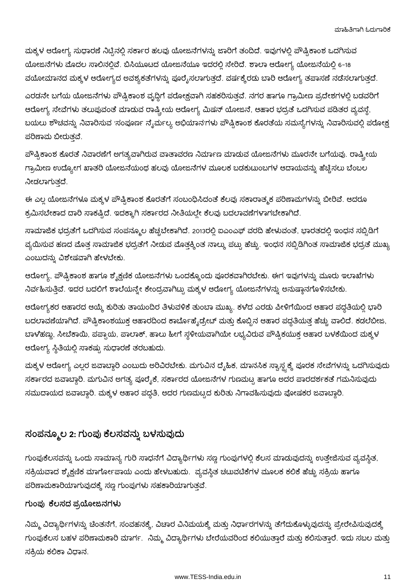ಮಕ್ಕಳ ಆರೋಗ್ಯ ಸುಧಾರಣೆ ನಿಟ್ಟಿನಲ್ಲಿ ಸರ್ಕಾರ ಹಲವು ಯೋಜನೆಗಳನ್ನು ಜಾರಿಗೆ ತಂದಿದೆ. ಇವುಗಳಲ್ಲಿ ಪೌಷ್ಟಿಕಾಂಶ ಒದಗಿಸುವ ಯೋಜನೆಗಳು ಮೊದಲ ಸಾಲಿನಲ್ಲಿವೆ. ಬಿಸಿಯೂಟದ ಯೋಜನೆಯೂ ಇದರಲ್ಲಿ ಸೇರಿದೆ. ಶಾಲಾ ಆರೋಗ್ಯ ಯೋಜನೆಯಲ್ಲಿ 6-18 ವಯೋಮಾನದ ಮಕ್ಕಳ ಆರೋಗ್ಯದ ಅವಶ್ಯಕತೆಗಳನ್ನು ಪೂರೈಸಲಾಗುತ್ತದೆ. ವರ್ಷಕ್ಕೆರಡು ಬಾರಿ ಆರೋಗ್ಯ ತಪಾಸಣೆ ನಡೆಸಲಾಗುತ್ತದೆ.

ಎರಡನೇ ಬಗೆಯ ಯೋಜನೆಗಳು ಪೌಷ್ಟಿಕಾಂಶ ವೃದ್ಧಿಗೆ ಪರೋಕ್ಷವಾಗಿ ಸಹಕರಿಸುತ್ತವೆ. ನಗರ ಹಾಗೂ ಗ್ರಾಮೀಣ ಪ್ರದೇಶಗಳಲ್ಲಿ ಬಡವರಿಗೆ ಆರೋಗ್ಯ ಸೇವೆಗಳು ತಲುಪುವಂತೆ ಮಾಡುವ ರಾಷ್ಟ್ರೀಯ ಆರೋಗ್ಯ ಮಿಷನ್ ಯೋಜನೆ, ಆಹಾರ ಭದ್ರತೆ ಒದಗಿಸುವ ಪಡಿತರ ವ್ಯವಸ್ಥೆ, ಬಯಲು ಶೌಚವನ್ನು ನಿವಾರಿಸುವ 'ಸಂಪೂರ್ಣ ನೈರ್ಮಲ್ಯ ಅಭಿಯಾನ'ಗಳು ಪೌಷ್ಟಿಕಾಂಶ ಕೊರತೆಯ ಸಮಸ್ಯೆಗಳನ್ನು ನಿವಾರಿಸುವಲ್ಲಿ ಪರೋಕ್ಷ ಪರಿಣಾಮ ಬೀರುತ್ತವೆ.

ಪೌಷ್ಟಿಕಾಂಶ ಕೊರತೆ ನಿವಾರಣೆಗೆ ಅಗತ್ಯವಾಗಿರುವ ವಾತಾವರಣ ನಿರ್ಮಾಣ ಮಾಡುವ ಯೋಜನೆಗಳು ಮೂರನೇ ಬಗೆಯವು. ರಾಷ್ಟ್ರೀಯ ಗ್ರಾಮೀಣ ಉದ್ಯೋಗ ಖಾತರಿ ಯೋಜನೆಯಂಥ ಹಲವು ಯೋಜನೆಗಳ ಮೂಲಕ ಬಡಕುಟುಂಬಗಳ ಆದಾಯವನ್ನು ಹೆಚ್ಚಿಸಲು ಬೆಂಬಲ ನೀಡಲಾಗುತದೆ.

ಈ ಎಲ್ಲ ಯೋಜನೆಗಳೂ ಮಕ್ಕಳ ಪೌಷ್ಟಿಕಾಂಶ ಕೊರತೆಗೆ ಸಂಬಂಧಿಸಿದಂತೆ ಕೆಲವು ಸಕಾರಾತ್ಮಕ ಪರಿಣಾಮಗಳನ್ನು ಬೀರಿವೆ. ಆದರೂ ಕ್ರಮಿಸಬೇಕಾದ ದಾರಿ ಸಾಕಷ್ಟಿದೆ. ಇದಕ್ಕಾಗಿ ಸರ್ಕಾರದ ನೀತಿಯಲ್ಲೇ ಕೆಲವು ಬದಲಾವಣೆಗಳಾಗಬೇಕಾಗಿದೆ.

ಸಾಮಾಜಿಕ ಭದ್ರತೆಗೆ ಒದಗಿಸುವ ಸಂಪನ್ಮೂಲ ಹೆಚ್ಚಬೇಕಾಗಿದೆ. 2013ರಲ್ಲಿ ಐಎಂಎಫ್ ವರದಿ ಹೇಳುವಂತೆ, ಭಾರತದಲ್ಲಿ ಇಂಧನ ಸಬ್ಬಿಡಿಗೆ ವ್ಯಯಿಸುವ ಹಣದ ಮೊತ್ತ ಸಾಮಾಜಿಕ ಭದ್ರತೆಗೆ ನೀಡುವ ಮೊತ್ತಕ್ಕಿಂತ ನಾಲ್ಕು ಪಟ್ಟು ಹೆಚ್ಚು. ಇಂಧನ ಸಬ್ಸಿಡಿಗಿಂತ ಸಾಮಾಜಿಕ ಭದ್ರತೆ ಮುಖ್ಯ ಎಂಬುದನ್ನು ವಿಶೇಷವಾಗಿ ಹೇಳಬೇಕು.

ಆರೋಗ್ಯ, ಪೌಷ್ಟಿಕಾಂಶ ಹಾಗೂ ಶೈಕ್ಷಣಿಕ ಯೋಜನೆಗಳು ಒಂದಕ್ಕೊಂದು ಪೂರಕವಾಗಿರಬೇಕು. ಈಗ ಇವುಗಳನ್ನು ಮೂರು ಇಲಾಖೆಗಳು ನಿರ್ವಹಿಸುತ್ತಿವೆ. ಇದರ ಬದಲಿಗೆ ಶಾಲೆಯನ್ನೇ ಕೇಂದ್ರವಾಗಿಟ್ಟು ಮಕ್ಕಳ ಆರೋಗ್ಯ ಯೋಜನೆಗಳನ್ನು ಅನುಷ್ಠಾನಗೊಳಿಸಬೇಕು.

ಆರೋಗ್ಯಕರ ಆಹಾರದ ಆಯ್ಕೆ ಕುರಿತು ತಾಯಂದಿರ ತಿಳುವಳಿಕೆ ತುಂಬಾ ಮುಖ್ಯ. ಕಳೆದ ಎರಡು ಪೀಳಿಗೆಯಿಂದ ಆಹಾರ ಪದ್ಧತಿಯಲ್ಲಿ ಭಾರಿ ಬದಲಾವಣೆಯಾಗಿದೆ. ಪೌಷ್ಟಿಕಾಂಶಯುಕ್ತ ಆಹಾರದಿಂದ ಕಾರ್ಬೊಹೈಡ್ರೇಟ್ ಮತ್ತು ಕೊಬ್ಬಿನ ಆಹಾರ ಪದ್ಧತಿಯತ್ತ ಹೆಚ್ಚು ವಾಲಿದೆ. ಕಡಲೆಬೀಜ, ಬಾಳೆಹಣ್ಣು, ಸೀಬೆಕಾಯಿ, ಪಪ್ಪಾಯ, ಪಾಲಾಕ್, ಹಾಲು ಹೀಗೆ ಸ್ಥಳೀಯವಾಗಿಯೇ ಲಭ್ಯವಿರುವ ಪೌಷ್ಟಿಕಯುಕ್ತ ಆಹಾರ ಬಳಕೆಯಿಂದ ಮಕ್ಕಳ ಆರೋಗ್ಯ ಸ್ಥಿತಿಯಲ್ಲಿ ಸಾಕಷ್ಟು ಸುಧಾರಣೆ ತರಬಹುದು.

ಮಕ್ಕಳ ಆರೋಗ್ಯ ಎಲ್ಲರ ಜವಾಬ್ದಾರಿ ಎಂಬುದು ಅರಿವಿರಬೇಕು. ಮಗುವಿನ ದೈಹಿಕ, ಮಾನಸಿಕ ಸ್ವಾಸ್ಥ್ಯಕ್ಕೆ ಪೂರಕ ಸೇವೆಗಳನ್ನು ಒದಗಿಸುವುದು ಸರ್ಕಾರದ ಜವಾಬ್ದಾರಿ. ಮಗುವಿನ ಅಗತ್ಯ ಪೂರೈಕೆ, ಸರ್ಕಾರದ ಯೋಜನೆಗಳ ಗುಣಮಟ್ಟ ಹಾಗೂ ಅದರ ಪಾರದರ್ಶಕತೆ ಗಮನಿಸುವುದು ಸಮುದಾಯದ ಜವಾಬ್ದಾರಿ. ಮಕ್ಕಳ ಆಹಾರ ಪದ್ಧತಿ, ಅದರ ಗುಣಮಟ್ಟದ ಕುರಿತು ನಿಗಾವಹಿಸುವುದು ಪೋಷಕರ ಜವಾಬ್ದಾರಿ.

### ಸಂಪನ್ಮೂಲ 2: ಗುಂಪು ಕೆಲಸವನ್ನು ಬಳಸುವುದು

ಗುಂಪುಕೆಲಸವನ್ನು ಒಂದು ಸಾಮಾನ್ಯ ಗುರಿ ಸಾಧನೆಗೆ ವಿದ್ಯಾರ್ಥಿಗಳು ಸಣ್ಣ ಗುಂಪುಗಳಲ್ಲಿ ಕೆಲಸ ಮಾಡುವುದನ್ನು ಉತ್ತೇಜಿಸುವ ವ್ಯವಸ್ಥಿತ, ಸಕ್ರಿಯವಾದ ಶೈಕ್ಷಣಿಕ ಮಾರ್ಗೋಪಾಯ ಎಂದು ಹೇಳಬಹುದು. ವ್ಯವಸ್ಥಿತ ಚಟುವಟಿಕೆಗಳ ಮೂಲಕ ಕಲಿಕೆ ಹೆಚ್ಚು ಸಕ್ರಿಯ ಹಾಗೂ ಪರಿಣಾಮಕಾರಿಯಾಗುವುದಕ್ಕೆ ಸಣ್ಣ ಗುಂಪುಗಳು ಸಹಕಾರಿಯಾಗುತ್ತವೆ.

### ಗುಂಪು ಕೆಲಸದ ಪ್ರಯೋಜನಗಳು

ನಿಮ್ಮ ವಿದ್ಯಾರ್ಥಿಗಳನ್ನು ಚಿಂತನೆಗೆ, ಸಂವಹನಕ್ಕೆ, ವಿಚಾರ ವಿನಿಮಯಕ್ಕೆ ಮತ್ತು ನಿರ್ಧಾರಗಳನ್ನು ತೆಗೆದುಕೊಳ್ಳುವುದನ್ನು ಪ್ರೇರೇಪಿಸುವುದಕ್ಕೆ ಗುಂಪುಕೆಲಸ ಬಹಳ ಪರಿಣಾಮಕಾರಿ ಮಾರ್ಗ. ನಿಮ್ಮ ವಿದ್ಯಾರ್ಥಿಗಳು ಬೇರೆಯವರಿಂದ ಕಲಿಯುತ್ತಾರೆ ಮತ್ತು ಕಲಿಸುತ್ತಾರೆ. ಇದು ಸಬಲ ಮತ್ತು ಸಕ್ರಿಯ ಕಲಿಕಾ ವಿಧಾನ.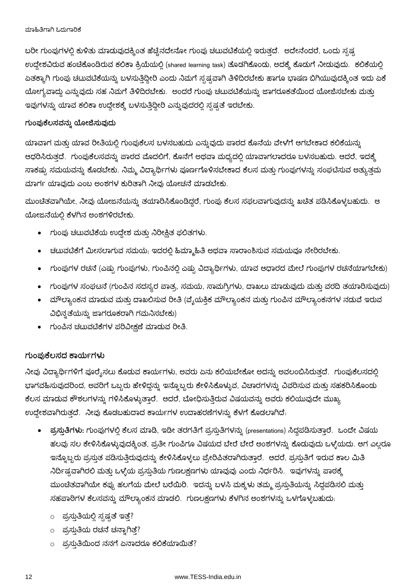ಬರೀ ಗುಂಪುಗಳಲ್ಲಿ ಕುಳಿತು ಮಾಡುವುದಕ್ಕಿಂತ ಹೆಚ್ಚಿನದೇನೋ ಗುಂಪು ಚಟುವಟಿಕೆಯಲ್ಲಿ ಇರುತ್ತದೆ. ಅದೇನೆಂದರೆ, ಒಂದು ಸ್ಪಷ್ಠ ಉದ್ದೇಶವಿರುವ ಹಂಚಿಕೊಂಡಿರುವ ಕಲಿಕಾ ಕ್ರಿಯೆಯಲ್ಲಿ (shared learning task) ತೊಡಗಿಕೊಂಡು, ಅದಕ್ಕೆ ಕೊಡುಗೆ ನೀಡುವುದು. ಕಲಿಕೆಯಲ್ಲಿ ಏತಕ್ಕಾಗಿ ಗುಂಪು ಚಟುವಟಿಕೆಯನ್ನು ಬಳಸುತ್ತಿದ್ದೀರಿ ಎಂದು ನಿಮಗೆ ಸ್ಪಷ್ಟವಾಗಿ ತಿಳಿದಿರಬೇಕು ಹಾಗೂ ಭಾಷಣ ಬಿಗಿಯುವುದಕ್ಕಿಂತ ಇದು ಏಕೆ ಯೋಗ್ಯವಾದ್ದು ಎನ್ನುವುದು ಸಹ ನಿಮಗೆ ತಿಳಿದಿರಬೇಕು. ಅಂದರೆ ಗುಂಪು ಚಟುವಟಿಕೆಯನ್ನು ಜಾಗರೂಕತೆಯಿಂದ ಯೋಜಿಸಬೇಕು ಮತ್ತು ಇವುಗಳನ್ನು ಯಾವ ಕಲಿಕಾ ಉದ್ದೇಶಕ್ಕೆ ಬಳಸುತ್ತಿದ್ದೀರಿ ಎನ್ನುವುದರಲ್ಲಿ ಸ್ಪಷ್ಟತೆ ಇರಬೇಕು.

#### ಗುಂಪುಕೆಲಸವನ್ನು ಯೋಜಿಸುವುದು

ಯಾವಾಗ ಮತ್ತು ಯಾವ ರೀತಿಯಲ್ಲಿ ಗುಂಪುಕೆಲಸ ಬಳಸಬಹುದು ಎನ್ನುವುದು ಪಾಠದ ಕೊನೆಯ ವೇಳೆಗೆ ಆಗಬೇಕಾದ ಕಲಿಕೆಯನ್ನು ಆಧರಿಸಿರುತ್ತದೆ. ಗುಂಪುಕೆಲಸವನ್ನು ಪಾಠದ ಮೊದಲಿಗೆ, ಕೊನೆಗೆ ಅಥವಾ ಮಧ್ಯದಲ್ಲಿ ಯಾವಾಗಲಾದರೂ ಬಳಸಬಹುದು. ಆದರೆ, ಇದಕ್ಕೆ ಸಾಕಷ್ಟು ಸಮಯವನ್ನು ಕೊಡಬೇಕು. ನಿಮ್ಮ ವಿದ್ಯಾರ್ಥಿಗಳು ಪೂರ್ಣಗೊಳಿಸಬೇಕಾದ ಕೆಲಸ ಮತ್ತು ಗುಂಪುಗಳನ್ನು ಸಂಘಟಿಸುವ ಅತ್ಯುತ್ತಮ ಮಾರ್ಗ ಯಾವುದು ಎಂಬ ಅಂಶಗಳ ಕುರಿತಾಗಿ ನೀವು ಯೋಚನೆ ಮಾಡಬೇಕು.

ಮುಂಚಿತವಾಗಿಯೇ, ನೀವು ಯೋಜನೆಯನ್ನು ತಯಾರಿಸಿಕೊಂಡಿದ್ದರೆ, ಗುಂಪು ಕೆಲಸ ಸಫಲವಾಗುವುದನ್ನು ಖಚಿತ ಪಡಿಸಿಕೊಳ್ಳಬಹುದು. ಆ ಯೋಜನೆಯಲ್ಲಿ ಕೆಳಗಿನ ಅಂಶಗಳಿರಬೇಕು.

- ಗುಂಪು ಚಟುವಟಿಕೆಯ ಉದ್ದೇಶ ಮತ್ತು ನಿರೀಕ್ಷಿತ ಫಲಿತಗಳು.
- ಚಟುವಟಿಕೆಗೆ ಮೀಸಲಾಗುವ ಸಮಯ; ಇದರಲ್ಲಿ ಹಿಮ್ಮಾಹಿತಿ ಅಥವಾ ಸಾರಾಂಶಿಸುವ ಸಮಯವೂ ಸೇರಿರಬೇಕು.
- ಗುಂಪುಗಳ ರಚನೆ (ಎಷ್ಟು ಗುಂಪುಗಳು, ಗುಂಪಿನಲ್ಲಿ ಎಷ್ಟು ವಿದ್ಯಾರ್ಥಿಗಳು, ಯಾವ ಆಧಾರದ ಮೇಲೆ ಗುಂಪುಗಳ ರಚನೆಯಾಗಬೇಕು)
- ಗುಂಪುಗಳ ಸಂಘಟನೆ (ಗುಂಪಿನ ಸದಸ್ಯರ ಪಾತ್ರ, ಸಮಯ, ಸಾಮಗ್ರಿಗಳು, ದಾಖಲು ಮಾಡುವುದು ಮತ್ತು ವರದಿ ತಯಾರಿಸುವುದು)
- ್ದು ಮೌಲ್ಯಾಂಕನ ಮಾಡುವ ಮತ್ತು ದಾಖಲಿಸುವ ರೀತಿ (ವ್ಯೆಯಕ್ತಿಕ ಮೌಲ್ಯಾಂಕನ ಮತ್ತು ಗುಂಪಿನ ಮೌಲ್ಯಾಂಕನಗಳ ನಡುವೆ ಇರುವ ವಿಭಿನ್ನತೆಯನ್ನು ಜಾಗರೂಕರಾಗಿ ಗಮನಿಸಬೇಕು)
- ಗುಂಪಿನ ಚಟುವಟಿಕೆಗಳ ಪರಿವೀಕ್ಷಣೆ ಮಾಡುವ ರೀತಿ.

### ಗುಂಪುಕೆಲಸದ ಕಾರ್ಯಗಳು

ನೀವು ವಿದ್ಯಾರ್ಥಿಗಳಿಗೆ ಪೂರ್ರೈಸಲು ಕೊಡುವ ಕಾರ್ಯಗಳು, ಅವರು ಏನು ಕಲಿಯಬೇಕೋ ಅದನ್ನು ಅವಲಂಬಿಸಿರುತ್ತದೆ. ಗುಂಪುಕೆಲಸದಲ್ಲಿ ಭಾಗವಹಿಸುವುದರಿಂದ, ಅವರಿಗೆ ಒಬ್ಬರು ಹೇಳಿದ್ದನ್ನು ಇನ್ನೊಬ್ಬರು ಕೇಳಿಸಿಕೊಳ್ಳುವ, ವಿಚಾರಗಳನ್ನು ವಿವರಿಸುವ ಮತ್ತು ಸಹಕರಿಸಿಕೊಂಡು ಕೆಲಸ ಮಾಡುವ ಕೌಶಲಗಳನ್ನು ಗಳಿಸಿಕೊಳ್ಳುತ್ತಾರೆ. ಆದರೆ, ಬೋಧಿಸುತ್ತಿರುವ ವಿಷಯವನ್ನು ಅವರು ಕಲಿಯುವುದೇ ಮುಖ್ಯ ಉದ್ದೇಶವಾಗಿರುತ್ತದೆ. ನೀವು ಕೊಡಬಹುದಾದ ಕಾರ್ಯಗಳ ಉದಾಹರಣೆಗಳನ್ನು ಕೆಳಗೆ ಕೊಡಲಾಗಿದೆ.

- ಪ್ರಸ್ತುತಿಗಳು: ಗುಂಪುಗಳಲ್ಲಿ ಕೆಲಸ ಮಾಡಿ, ಇಡೀ ತರಗತಿಗೆ ಪ್ರಸ್ತುತಿಗಳನ್ನು (presentations) ಸಿದ್ಧಪಡಿಸುತ್ತಾರೆ. ಒಂದೇ ವಿಷಯ ಹಲವು ಸಲ ಕೇಳಿಸಿಕೊಳ್ಳುವುದಕ್ಕಿಂತ, ಪ್ರತೀ ಗುಂಪಿಗೂ ವಿಷಯದ ಬೇರೆ ಬೇರೆ ಅಂಶಗಳನ್ನು ಕೊಡುವುದು ಒಳ್ಳೆಯದು. ಆಗ ಎಲ್ಲರೂ ಇನ್ನೊಬ್ಬರು ಪ್ರಸ್ತುತ ಪಡಿಸುತ್ತಿರುವುದನ್ನು ಕೇಳಿಸಿಕೊಳ್ಳಲು ಪ್ರೇರಿಪಿತರಾಗಿರುತ್ತಾರೆ. ಆದರೆ, ಪ್ರಸ್ತುತಿಗೆ ಇರುವ ಕಾಲ ಮಿತಿ ನಿರ್ದಿಷ್ಟವಾಗಿರಲಿ ಮತ್ತು ಒಳ್ಳೆಯ ಪ್ರಸ್ತುತಿಯ ಗುಣಲಕ್ಷಣಗಳು ಯಾವುವು ಎಂದು ನಿರ್ಧರಿಸಿ. ಇವುಗಳನ್ನು ಪಾಠಕ್ಕೆ ಮುಂಚಿತವಾಗಿಯೇ ಕಪ್ಪು ಹಲಗೆಯ ಮೇಲೆ ಬರೆಯಿರಿ. ಇದನ್ನು ಬಳಸಿ ಮಕ್ಕಳು ತಮ್ಮ ಪ್ರಸ್ತುತಿಯನ್ನು ಸಿದ್ಧಪಡಿಸಲಿ ಮತ್ತು ಸಹಪಾಠಿಗಳ ಕೆಲಸವನ್ನು ಮೌಲ್ಯಾಂಕನ ಮಾಡಲಿ. ಗುಣಲಕ್ಷಣಗಳು ಕೆಳಗಿನ ಅಂಶಗಳನ್ನು ಒಳಗೊಳ್ಳಬಹುದು:
	- ಂ ಪ್ರಸ್ತುತಿಯಲ್ಲಿ ಸ್ಪಷ್ಠತೆ ಇತ್ತೆ?
	- ಂ ಪ್ರಸ್ತುತಿಯ ರಚನೆ ಚನ್ನಾಗಿತ್ತೆ?
	- ಂ ಪ್ರಸ್ತುತಿಯಿಂದ ನನಗೆ ಏನಾದರೂ ಕಲಿಕೆಯಾಯಿತೆ?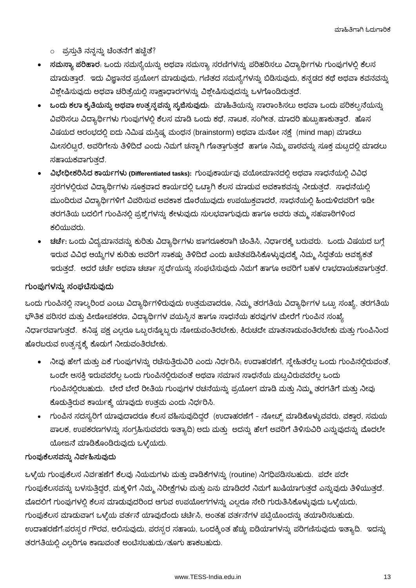ಮಾಹಿತಿಗಾಗಿ ಓದುಗಾರಿಕೆ

- ಪ್ರಸ್ತುತಿ ನನ್ನನ್ನು ಚಿಂತನೆಗೆ ಹಚ್ಚಿತೆ?
- ಸಮಸ್ಯಾ ಪರಿಹಾರ. ಒಂದು ಸಮಸ್ಯೆಯನ್ನು ಅಥವಾ ಸಮಸ್ಯಾ ಸರಣಿಗಳನ್ನು ಪರಿಹರಿಸಲು ವಿದ್ಯಾರ್ಥಿಗಳು ಗುಂಪುಗಳಲ್ಲಿ ಕೆಲಸ ಮಾಡುತ್ತಾರೆ. ಇದು ವಿಜ್ಞಾನದ ಪ್ರಯೋಗ ಮಾಡುವುದು, ಗಣಿತದ ಸಮಸ್ಯೆಗಳನ್ನು ಬಿಡಿಸುವುದು, ಕನ್ನಡದ ಕಥೆ ಅಥವಾ ಕವನವನ್ನು ವಿಶ್ಲೇಷಿಸುವುದು ಅಥವಾ ಚರಿತ್ರೆಯಲ್ಲಿ ಸಾಕ್ಷಾಧಾರಗಳನ್ನು ವಿಶ್ಲೇಷಿಸುವುದನ್ನು ಒಳಗೊಂಡಿರುತ್ತದೆ.
- ಒಂದು ಕಲಾ ಕೃತಿಯನ್ನು ಅಥವಾ ಉತ್ಸನ್ನವನ್ನು ಸೃಜಿಸುವುದು. ಮಾಹಿತಿಯನ್ನು ಸಾರಾಂಶಿಸಲು ಅಥವಾ ಒಂದು ಪರಿಕಲ್ಪನೆಯನ್ನು ವಿವರಿಸಲು ವಿದ್ಯಾರ್ಥಿಗಳು ಗುಂಪುಗಳಲ್ಲಿ ಕೆಲಸ ಮಾಡಿ ಒಂದು ಕಥೆ, ನಾಟಕ, ಸಂಗೀತ, ಮಾದರಿ ಹುಟ್ಟುಹಾಕುತ್ತಾರೆ. ಹೊಸ ವಿಷಯದ ಆರಂಭದಲ್ಲಿ ಐದು ನಿಮಿಷ ಮಸ್ತಿಷ್ಕ ಮಂಥನ (brainstorm) ಅಥವಾ ಮನೋ ನಕ್ಷೆ (mind map) ಮಾಡಲು ಮೀಸಲಿಟ್ಟರೆ, ಅವರಿಗೇನು ತಿಳಿದಿದೆ ಎಂದು ನಿಮಗೆ ಚನ್<mark>ಚಾ</mark>ಗಿ ಗೊತ್ತಾಗುತ್ತದೆ ಹಾಗೂ ನಿಮ್ಮ ಪಾಠವನ್ನು ಸೂಕ್ತ ಮಟ್ಟದಲ್ಲಿ ಮಾಡಲು ಸಹಾಯಕವಾಗುತ್ತದೆ.
- ವಿಭೇಧೀಕರಿಸಿದ ಕಾರ್ಯಗಳು (Differentiated tasks): ಗುಂಪುಕಾರ್ಯವು ವಯೋಮಾನದಲ್ಲಿ ಅಥವಾ ಸಾಧನೆಯಲ್ಲಿ ವಿವಿಧ ಸ್ತರಗಳಲ್ಲಿರುವ ವಿದ್ಯಾರ್ಥಿಗಳು ಸೂಕ್ತವಾದ ಕಾರ್ಯದಲ್ಲಿ ಒಟ್ಟಾಗಿ ಕೆಲಸ ಮಾಡುವ ಅವಕಾಶವನ್ನು ನೀಡುತ್ತದೆ. ಸಾಧನೆಯಲ್ಲಿ ಮುಂದಿರುವ ವಿದ್ಯಾರ್ಥಿಗಳಿಗೆ ವಿವರಿಸುವ ಅವಕಾಶ ದೊರೆಯುವುದು ಉಪಯುಕ್ತವಾದರೆ, ಸಾಧನೆಯಲ್ಲಿ ಹಿಂದುಳಿದವರಿಗೆ ಇಡೀ ತರಗತಿಯ ಬದಲಿಗೆ ಗುಂಪಿನಲ್ಲಿ ಪ್ರಶ್ನೆಗಳನ್ನು ಕೇಳುವುದು ಸುಲಭವಾಗುವುದು ಹಾಗೂ ಅವರು ತಮ್ಮ ಸಹಪಾಠಿಗಳಿಂದ ಕಲಿಯುವರು.
- <mark>ಚರ್ಚೆ:</mark> ಒಂದು ವಿದ್ಯಮಾನವನ್ನು ಕುರಿತು ವಿದ್ಯಾರ್ಥಿಗಳು ಜಾಗರೂಕರಾಗಿ ಚಿಂತಿಸಿ, ನಿರ್ಧಾರಕ್ಕೆ ಬರುವರು. ಒಂದು ವಿಷಯದ ಬಗ್ಗೆ ಇರುವ ವಿವಿಧ ಆಯ್ಕೆಗಳ ಕುರಿತು ಅವರಿಗೆ ಸಾಕಷ್ಟು ತಿಳಿದಿದೆ ಎಂದು ಖಚಿತಪಡಿಸಿಕೊಳ್ಳುವುದಕ್ಕೆ ನಿಮ್ಮ ಸಿದ್ಧತೆಯ ಆವಶ್ಯಕತೆ ಇರುತ್ತದೆ. ಆದರೆ ಚರ್ಚೆ ಅಥವಾ ಚರ್ಚಾ ಸ್ಪರ್ಧೆಯನ್ನು ಸಂಘಟಿಸುವುದು ನಿಮಗೆ ಹಾಗೂ ಅವರಿಗೆ ಬಹಳ ಲಾಭದಾಯಕವಾಗುತ್ತದೆ.

### ಗುಂಪುಗಳನ್ನು ಸಂಘಟಿಸುವುದು

ಒಂದು ಗುಂಪಿನಲ್ಲಿ ನಾಲ್ಕರಿಂದ ಎಂಟು ವಿದ್ಯಾರ್ಥಿಗಳಿರುವುದು ಉತ್ತಮವಾದರೂ, ನಿಮ್ಮ ತರಗತಿಯ ವಿದ್ಯಾರ್ಥಿಗಳ ಒಟ್ಟು ಸಂಖ್ಯೆ, ತರಗತಿಯ ಭೌತಿಕ ಪರಿಸರ ಮತ್ತು ಪೀಠೋಪಕರಣ, ವಿದ್ಯಾರ್ಥಿಗಳ ವಯಸ್ಸಿನ ಹಾಗೂ ಸಾಧನೆಯ ಹರವುಗಳ ಮೇರೆಗೆ ಗುಂಪಿನ ಸಂಖ್ಯೆ ನಿರ್ಧಾರವಾಗುತ್ತದೆ. ಕನಿಷ್ಟ ಪಕ್ಷ ಎಲ್ಲರೂ ಒಬ್ಬರನ್ನೊಬ್ಬರು ನೋಡುವಂತಿರಬೇಕು, ಕಿರುಚದೇ ಮಾತನಾಡುವಂತಿರಬೇಕು ಮತ್ತು ಗುಂಪಿನಿಂದ ಹೊರಬರುವ ಉತ್ಸನ್ನಕ್ಕೆ ಕೊಡುಗೆ ನೀಡುವಂತಿರಬೇಕು.

- ನೀವು ಹೇಗೆ ಮತ್ತು ಏಕೆ ಗುಂಪುಗಳನ್ನು ರಚೆಸುತ್ತಿರುವಿರಿ ಎಂದು ನಿರ್ಧರಿಸಿ, ಉದಾಹರಣೆಗೆ, ಸ್ತ್ರೇಹಿತರೆಲ್ಲ ಒಂದು ಗುಂಪಿನಲ್ಲಿರುವಂತೆ, ಒಂದೇ ಆಸಕ್ತಿ ಇರುವವರೆಲ್ಲ ಒಂದು ಗುಂಪಿನಲ್ಲಿರುವಂತೆ ಅಥವಾ ಸಮಾನ ಸಾಧನೆಯ ಮಟ್ಟವಿರುವವರೆಲ್ಲ ಒಂದು ಗುಂಪಿನಲ್ಲಿರಬಹುದು. ಬೇರೆ ಬೇರೆ ರೀತಿಯ ಗುಂಪುಗಳ ರಚನೆಯನ್ನು ಪ್ರಯೋಗ ಮಾಡಿ ಮತ್ತು ನಿಮ್ಮ ತರಗತಿಗೆ ಮತ್ತು ನೀವು ಕೊಡುತ್ತಿರುವ ಕಾರ್ಯಕ್ಕೆ ಯಾವುದು ಉತ್ತಮ ಎಂದು ನಿರ್ಧರಿಸಿ.
- ಗುಂಪಿನ ಸದಸ್ಯರಿಗೆ ಯಾವುದಾದರೂ ಕೆಲಸ ವಹಿಸುವುದಿದ್ದರೆ (ಉದಾಹರಣೆಗೆ ನೋಟ್ಸ್ ಮಾಡಿಕೊಳ್ಳುವವರು, ವಕ್ತಾರ, ಸಮಯ ಪಾಲಕ, ಉಪಕರಣಗಳನ್ನು ಸಂಗ್ರಹಿಸುವವರು ಇತ್ಯಾದಿ) ಅದು ಮತ್ತು ಅದನ್ನು ಹೇಗೆ ಅವರಿಗೆ ತಿಳಿಸುವಿರಿ ಎನ್ನುವುದನ್ನು ಮೊದಲೇ ಯೋಜನೆ ಮಾಡಿಕೊಂಡಿರುವುದು ಒಳ್ಳೆಯದು.

#### ಗುಂಪುಕೆಲಸವನ್ನು ನಿರ್ವಹಿಸುವುದು

ಒಳ್ಳೆಯ ಗುಂಪುಕೆಲಸ ನಿರ್ವಹಣೆಗೆ ಕೆಲವು ನಿಯಮಗಳು ಮತ್ತು ವಾಡಿಕೆಗಳನ್ನು (routine) ನಿಗಧಿಪಡಿಸಬಹುದು. ಪದೇ ಪದೇ ಗುಂಪುಕೆಲಸವನ್ನು ಬಳಸುತ್ತಿದ್ದರೆ, ಮಕ್ಕಳಿಗೆ ನಿಮ್ಮ ನಿರೀಕ್ಷೆಗಳು ಮತ್ತು ಏನು ಮಾಡಿದರೆ ನಿಮಗೆ ಖುಷಿಯಾಗುತ್ತದೆ ಎನ್ನುವುದು ತಿಳಿಯುತ್ತದೆ. ಮೊದಲಿಗೆ ಗುಂಪುಗಳಲ್ಲಿ ಕೆಲಸ ಮಾಡುವುದರಿಂದ ಆಗುವ ಉಪಯೋಗಗಳನ್ನು ಎಲ್ಲರೂ ಸೇರಿ ಗುರುತಿಸಿಕೊಳ್ಳುವುದು ಒಳ್ಳೆಯದು, ಗುಂಪುಕೆಲಸ ಮಾಡುವಾಗ ಒಳ್ಳೆಯ ವರ್ತನೆ ಯಾವುದೆಂದು ಚರ್ಚಿಸಿ, ಅಂತಹ ವರ್ತನೆಗಳ ಪಟ್ಟಿಯೊಂದನ್ನು ತಯಾರಿಸಬಹುದು. ಉದಾಹರಣೆಗೆ.ಪರಸ್ಸರ ಗೌರವ, ಆಲಿಸುವುದು, ಪರಸ್ಪರ ಸಹಾಯ, ಒಂದಕ್ಕಿಂತ ಹೆಚ್ಚು ಐಡಿಯಾಗಳನ್ನು ಪರಿಗಣಿಸುವುದು ಇತ್ಯಾದಿ. ಇದನ್ನು ತರಗತಿಯಲ್ಲಿ ಎಲ್ಲರಿಗೂ ಕಾಣುವಂತೆ ಅಂಟಿಸಬಹುದು/ತೂಗು ಹಾಕಬಹುದು.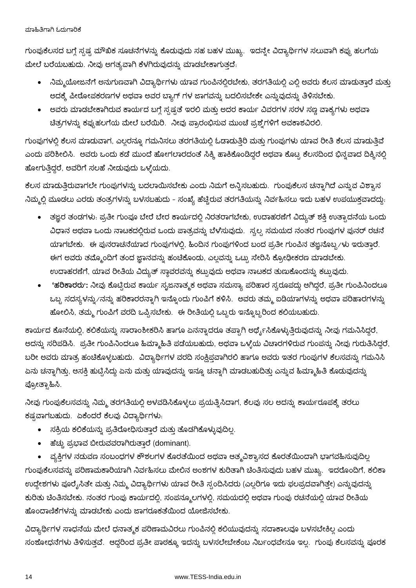#### ಮಾಹಿತಿಗಾಗಿ ಓದುಗಾರಿಕೆ

ಗುಂಪುಕೆಲಸದ ಬಗ್ಗೆ ಸ್ಪಷ್ಪ ಮೌಖಿಕ ಸೂಚನೆಗಳನ್ನು ಕೊಡುವುದು ಸಹ ಬಹಳ ಮುಖ್ಯ. ಇದನ್ನೇ ವಿದ್ಯಾರ್ಥಿಗಳ ಸಲುವಾಗಿ ಕಪ್ಪು ಹಲಗೆಯ ಮೇಲೆ ಬರೆಯಬಹುದು. ನೀವು ಅಗತ್ಯವಾಗಿ ಕೆಳಗಿರುವುದನ್ನು ಮಾಡಬೇಕಾಗುತ್ತದೆ.

- ನಿಮ್ಮಯೋಜನೆಗೆ ಅನುಗುಣವಾಗಿ ವಿದ್ಯಾರ್ಥಿಗಳು ಯಾವ ಗುಂಪಿನಲ್ಲಿರಬೇಕು, ತರಗತಿಯಲ್ಲಿ ಎಲ್ಲಿ ಅವರು ಕೆಲಸ ಮಾಡುತ್ತಾರೆ ಮತ್ತು ಅದಕ್ಕೆ ಪೀಠೋಪಕರಣಗಳ ಅಥವಾ ಅವರ ಬ್ಯಾಗ್ ಗಳ ಜಾಗವನ್ನು ಬದಲಿಸಬೇಕೇ ಎನ್ನುವುದನ್ನು ತಿಳಿಸಬೇಕು.
- ಅವರು ಮಾಡಬೇಕಾಗಿರುವ ಕಾರ್ಯದ ಬಗ್ಗೆ ಸ್ಪಷ್ಟತೆ ಇರಲಿ ಮತ್ತು ಅದರ ಕಾರ್ಯ ವಿವರಗಳ ಸರಳ ಸಣ್ಣ ವಾಕ್ಯಗಳು ಅಥವಾ ಚಿತ್ರಗಳನ್ನು ಕಪ್ಪುಹಲಗೆಯ ಮೇಲೆ ಬರೆಯಿರಿ. ನೀವು ಪ್ರಾರಂಭಿಸುವ ಮುಂಚೆ ಪ್ರಶ್ನೆಗಳಿಗೆ ಅವಕಾಶವಿರಲಿ.

ಗುಂಪುಗಳಲ್ಲಿ ಕೆಲಸ ಮಾಡುವಾಗ, ಎಲ್ಲರನ್ನೂ ಗಮನಿಸಲು ತರಗತಿಯಲ್ಲಿ ಓಡಾಡುತ್ತಿರಿ ಮತ್ತು ಗುಂಪುಗಳು ಯಾವ ರೀತಿ ಕೆಲಸ ಮಾಡುತ್ತಿವೆ ಎಂದು ಪರಿಶೀಲಿಸಿ. ಅವರು ಒಂದು ಕಡೆ ಮುಂದೆ ಹೋಗಲಾರದಂತೆ ಸಿಕ್ಕಿ ಹಾಕಿಕೊಂಡಿದ್ದರೆ ಅಥವಾ ಕೊಟ್ಟ ಕೆಲಸದಿಂದ ಭಿನ್ನವಾದ ದಿಕ್ಕಿನಲ್ಲಿ ಹೋಗುತ್ತಿದ್ದರೆ, ಅವರಿಗೆ ಸಲಹೆ ನೀಡುವುದು ಒಳ್ಳೆಯದು.

ಕೆಲಸ ಮಾಡುತ್ತಿರುವಾಗಲೇ ಗುಂಪುಗಳನ್ನು ಬದಲಾಯಿಸಬೇಕು ಎಂದು ನಿಮಗೆ ಅನ್ನಿಸಬಹುದು. ಗುಂಪುಕೆಲಸ ಚನ್ನಾಗಿದೆ ಎನ್ನುವ ವಿಶ್ಯಾಸ ನಿಮ್ಮಲ್ಲಿ ಮೂಡಲು ಎರಡು ತಂತ್ರಗಳನ್ನು ಬಳಸಬಹುದು - ಸಂಖ್ಯೆ ಹೆಚ್ಚಿರುವ ತರಗತಿಯನ್ನು ನಿರ್ವಹಿಸಲು ಇದು ಬಹಳ ಉಪಯುಕ್ತವಾದದ್ದು.

- ತಜ್ಞರ ತಂಡಗಳು: ಪ್ರತೀ ಗುಂಪೂ ಬೇರೆ ಬೇರ ಕಾರ್ಯದಲ್ಲಿ ನಿರತರಾಗಬೇಕು, ಉದಾಹರಣೆಗೆ ವಿದ್ಯುತ್ ಶಕ್ತಿ ಉತ್ಪಾದನೆಯ ಒಂದು ವಿಧಾನ ಅಥವಾ ಒಂದು ನಾಟಕದಲ್ಲಿರುವ ಒಂದು ಪಾತ್ರವನ್ನು ಬೆಳೆಸುವುದು. ಸ್ವಲ್ಪ ಸಮಯದ ನಂತರ ಗುಂಪುಗಳ ಪುನರ್ ರಚನೆ ಯಾಗಬೇಕು. ಈ ಪುನರಾಚನೆಯಾದ ಗುಂಪುಗಳಲ್ಲಿ, ಹಿಂದಿನ ಗುಂಪುಗಳಿಂದ ಬಂದ ಪ್ರತೀ ಗುಂಪಿನ ತಜ್ಞನೊಬ್ಬ ⁄ಳು ಇರುತ್ತಾರೆ. ಈಗ ಅವರು ತಮ್ಮೊಂದಿಗೆ ತಂದ ಜ್ಞಾನವನ್ನು ಹಂಚಿಕೊಂಡು, ಎಲ್ಲವನ್ನು ಒಟ್ಟು ಸೇರಿಸಿ ಕ್ರೋಢೀಕರಣ ಮಾಡಬೇಕು. ಉದಾಹರಣೆಗೆ, ಯಾವ ರೀತಿಯ ವಿದ್ಯುತ್ ಸ್ಥಾವರವನ್ನು ಕಟ್ಟುವುದು ಅಥವಾ ನಾಟಕದ ತುಣುಕೊಂದನ್ನು ಕಟ್ಟುವುದು.
- 'ಹರಿಕಾರರು': ನೀವು ಕೊಟ್ಟಿರುವ ಕಾರ್ಯ ಸೃಜನಾತ್ಮಕ ಅಥವಾ ಸಮಸ್ಯಾ ಪರಿಹಾರ ಸ್ವರೂಪದ್ದು ಆಗಿದ್ದರೆ, ಪ್ರತೀ ಗುಂಪಿನಿಂದಲೂ ಒಬ್ಬ ಸದಸ್ಯಳನ್ನು ⁄ನನ್ನು ಹರಿಕಾರರನ್ನಾಗಿ ಇನ್ನೊಂದು ಗುಂಪಿಗೆ ಕಳಿಸಿ. ಅವರು ತಮ್ಮ ಐಡಿಯಾಗಳನ್ನು ಅಥವಾ ಪರಿಹಾರಗಳನ್ನು ಹೋಲಿಸಿ, ತಮ್ಮ ಗುಂಪಿಗೆ ವರದಿ ಒಪ್ಪಿಸಬೇಕು. ಈ ರೀತಿಯಲ್ಲಿ ಒಬ್ಬರು ಇನ್ನೊಬ್ಬರಿಂದ ಕಲಿಯಬಹುದು.

ಕಾರ್ಯದ ಕೊನೆಯಲ್ಲಿ, ಕಲಿಕೆಯನ್ನು ಸಾರಾಂಶೀಕರಿಸಿ ಹಾಗೂ ಏನನ್ನಾದರೂ ತಪ್ಪಾಗಿ ಅರ್ಥೈಸಿಕೊಳ್ಳುತ್ತಿರುವುದನ್ನು ನೀವು ಗಮನಿಸಿದ್ದರೆ, ಅದನ್ನು ಸರಿಪಡಿಸಿ. ಪ್ರತೀ ಗುಂಪಿನಿಂದಲೂ ಹಿಮ್ಮಾಹಿತಿ ಪಡೆಯಬಹುದು, ಅಥವಾ ಒಳ್ಳೆಯ ವಿಚಾರಗಳಿರುವ ಗುಂಪನ್ನು ನೀವು ಗುರುತಿಸಿದ್ದರೆ, ಬರೀ ಅವರು ಮಾತ್ರ ಹಂಚಿಕೊಳ್ಳಬಹುದು. ವಿದ್ಯಾರ್ಥಿಗಳ ವರದಿ ಸಂಕ್ಷಿಪ್ತವಾಗಿರಲಿ ಹಾಗೂ ಅವರು ಇತರ ಗುಂಪುಗಳ ಕೆಲಸವನ್ನು ಗಮನಿಸಿ ಏನು ಚನ್ನಾಗಿತ್ತು, ಆಸಕ್ತಿ ಹುಟ್ಟಿಸಿದ್ದು ಏನು ಮತ್ತು ಯಾವುದನ್ನು ಇನ್ನೂ ಚನ್ನಾಗಿ ಮಾಡಬಹುದಿತ್ತು ಎನ್ನುವ ಹಿಮ್ಮಾಹಿತಿ ಕೊಡುವುದನ್ನು ಪ್ರೋತ್ಸಾಹಿಸಿ.

ನೀವು ಗುಂಪುಕೆಲಸವನ್ನು ನಿಮ್ಮ ತರಗತಿಯಲ್ಲಿ ಅಳವಡಿಸಿಕೊಳ್ಳಲು ಪ್ರಯತ್ನಿಸಿದಾಗ, ಕೆಲವು ಸಲ ಅದನ್ನು ಕಾರ್ಯರೂಪಕ್ಕೆ ತರಲು ಕಷ್ಣವಾಗಬಹುದು. ಏಕೆಂದರೆ ಕೆಲವು ವಿದ್ಯಾರ್ಥಿಗಳು:

- ಸಕ್ರಿಯ ಕಲಿಕೆಯನ್ನು ಪ್ರತಿರೋಧಿಸುತ್ತಾರೆ ಮತ್ತು ತೊಡಗಿಕೊಳ್ಳುವುದಿಲ್ಲ.
- ಹೆಚ್ಚು ಪ್ರಭಾವ ಬೀರುವವರಾಗಿರುತ್ತಾರೆ (dominant).

ವ್ಯಕ್ತಿಗಳ ನಡುವಣ ಸಂಬಂಧಗಳ ಕೌಶಲಗಳ ಕೊರತೆಯಿಂದ ಅಥವಾ ಆತ್ಮವಿಶ್ವಾಸದ ಕೊರತೆಯಿಂದಾಗಿ ಭಾಗವಹಿಸುವುದಿಲ್ಲ ಗುಂಪುಕೆಲಸವನ್ನು ಪರಿಣಾಮಕಾರಿಯಾಗಿ ನಿರ್ವಹಿಸಲು ಮೇಲಿನ ಅಂಶಗಳ ಕುರಿತಾಗಿ ಚಿಂತಿಸುವುದು ಬಹಳ ಮುಖ್ಯ. ಇದರೊಂದಿಗೆ, ಕಲಿಕಾ ಉದ್ದೇಶಗಳು ಪೂರೈಸಿತೇ ಮತ್ತು ನಿಮ್ಮ ವಿದ್ಯಾರ್ಥಿಗಳು ಯಾವ ರೀತಿ ಸ್ಪಂದಿಸಿದರು (ಎಲ್ಲರಿಗೂ ಇದು ಫಲಪ್ರದವಾಗಿತ್ತೇ) ಎನ್ನುವುದನ್ನು ಕುರಿತು ಚಿಂತಿಸಬೇಕು. ನಂತರ ಗುಂಪು ಕಾರ್ಯದಲ್ಲಿ, ಸಂಪನ್ಮೂಲಗಳಲ್ಲಿ, ಸಮಯದಲ್ಲಿ ಅಥವಾ ಗುಂಪು ರಚನೆಯಲ್ಲಿ ಯಾವ ರೀತಿಯ ಹೊಂದಾಣಿಕೆಗಳನ್ನು ಮಾಡಬೇಕು ಎಂದು ಜಾಗರೂಕತೆಯಿಂದ ಯೋಜಿಸಬೇಕು.

ವಿದ್ಯಾರ್ಥಿಗಳ ಸಾಧನೆಯ ಮೇಲೆ ಧನಾತ್ಮಕ ಪರಿಣಾಮವಿರಲು ಗುಂಪಿನಲ್ಲಿ ಕಲಿಯುವುದನ್ನು ಸದಾಕಾಲವೂ ಬಳಸಬೇಕಿಲ್ಲ ಎಂದು ಸಂಶೋಧನೆಗಳು ತಿಳಿಸುತ್ತವೆ. ಆದ್ದರಿಂದ ಪ್ರತೀ ಪಾಠಕ್ಕೂ ಇದನ್ನು ಬಳಸಲೇಬೇಕೆಂಬ ನಿರ್ಬಂಧವೇನೂ ಇಲ್ಲ. ಗುಂಪು ಕೆಲಸವನ್ನು ಪೂರಕ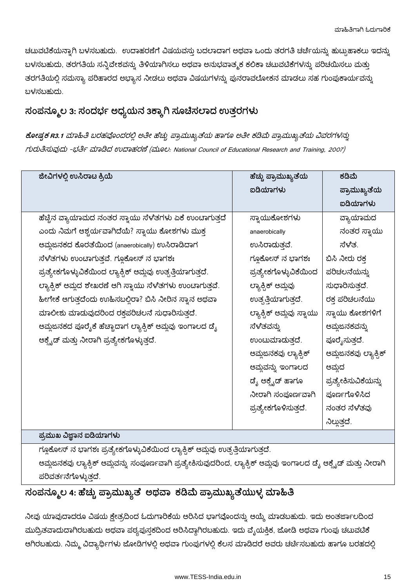ಚಟುವಟಿಕೆಯನ್ನಾಗಿ ಬಳಸಬಹುದು. ಉದಾಹರಣೆಗೆ ವಿಷಯವಸ್ತು ಬದಲಾದಾಗ ಅಥವಾ ಒಂದು ತರಗತಿ ಚರ್ಚೆಯನ್ನು ಹುಟ್ಟುಹಾಕಲು ಇದನ್ನು ಬಳಸಬಹುದು, ತರಗತಿಯ ಸನ್ನಿವೇಶವನ್ನು ತಿಳಿಯಾಗಿಸಲು ಅಥವಾ ಅನುಭವಾತ್ಮಕ ಕಲಿಕಾ ಚಟುವಟಿಕೆಗಳನ್ನು ಪರಿಚಯಿಸಲು ಮತ್ತು ತರಗತಿಯಲ್ಲಿ ಸಮಸ್ಯಾ ಪರಿಹಾರದ ಅಭ್ಯಾಸ ನೀಡಲು ಅಥವಾ ವಿಷಯಗಳನ್ನು ಪುನರಾವಲೋಕನ ಮಾಡಲು ಸಹ ಗುಂಪುಕಾರ್ಯವನ್ನು ಬಳಸಬಹುದು.

### ಸಂಪನ್ಮೂಲ 3: ಸಂದರ್ಭ ಅಧ್ಯಯನ 3ಕ್ಕಾಗಿ ಸೂಚಿಸಲಾದ ಉತ್ತರಗಳು

ಕೋಷ್ಟಕ R3.1 ಮಾಹಿತಿ ಬರಹವೊಂದರಲ್ಲಿ ಅತೀ ಹೆಚ್ಚು ಪ್ರಾಮುಖ್ಯತೆಯ ಹಾಗೂ ಅತೀ ಕಡಿಮೆ ಪ್ರಾಮುಖ್ಯತೆಯ ವಿವರಗಳನ್ನು rบัฒิสัมอีเฉีย -ยุไฮ๊ส ฌจนิส์ ยุบฌจสีบีสี (ฉีมอย): National Council of Educational Research and Training, 2007)

| ಜೀವಿಗಳಲ್ಲಿ ಉಸಿರಾಟ ಕ್ರಿಯೆ                                                     | ಹೆಚ್ಚು ಪ್ರಾಮುಖ್ಯತೆಯ      | ಕಡಿಮೆ                |  |
|------------------------------------------------------------------------------|--------------------------|----------------------|--|
|                                                                              | ಐಡಿಯಾಗಳು                 | ಪ್ರಾಮುಖ್ಯತೆಯ         |  |
|                                                                              |                          | ಐಡಿಯಾಗಳು             |  |
| ಹೆಚ್ಚಿನ ವ್ಯಾಯಾಮದ ನಂತರ ಸ್ವಾಯು ಸೆಳೆತಗಳು ಏಕೆ ಉಂಟಾಗುತ್ತದೆ                        | ಸ್ನಾಯುಕೋಶಗಳು             | ವ್ಯಾಯಾಮದ             |  |
| ಎಂದು ನಿಮಗೆ ಆಶ್ಚರ್ಯವಾಗಿದೆಯೆ? ಸ್ವಾಯು ಕೋಶಗಳು ಮುಕ್ತ                              | anaerobically            | ನಂತರ ಸ್ನಾಯು          |  |
| ಆಮ್ಲಜನಕದ ಕೊರತೆಯಿಂದ (anaerobically) ಉಸಿರಾಡಿದಾಗ                                | ಉಸಿರಾದುತ್ತವೆ.            | ಸೆಳೆತ್ರ              |  |
| ಸೆಳೆತಗಳು ಉಂಟಾಗುತ್ತವೆ. ಗ್ಲೂಕೋಸ್ ನ ಭಾಗಶಃ                                       | ಗ್ಲೂಕೋಸ್ ನ ಭಾಗಶಃ         | ಬಿಸಿ ನೀರು ರಕ್ತ       |  |
| ಪ್ರತ್ಯೇಕಗೊಳ್ಳುವಿಕೆಯಿಂದ ಲ್ಯಾಕ್ಟಿಕ್ ಆಮ್ಲವು ಉತ್ಪತ್ತಿಯಾಗುತ್ತದೆ.                  | ಪ್ರತ್ಯೇಕಗೊಳ್ಳುವಿಕೆಯಿಂದ   | ಪರಿಚಲನೆಯನ್ನು         |  |
| ಲ್ಯಾಕ್ಸಿಕ್ ಆಮ್ಲದ ಶೇಖರಣೆ ಆಗಿ ಸ್ವಾಯು ಸೆಳೆತಗಳು ಉಂಟಾಗುತ್ತವೆ.                     | ಲ್ಯಾಕ್ರಿಕ್ ಆಮ್ಲವು        | ಸುಧಾರಿಸುತ್ತದೆ.       |  |
| ಹೀಗೇಕೆ ಆಗುತ್ತದೆಂದು ಉಹಿಸಬಲ್ಲಿರಾ? ಬಿಸಿ ನೀರಿನ ಸ್ಥಾನ ಅಥವಾ                        | ಉತ್ಪತ್ತಿಯಾಗುತ್ತದೆ.       | ರಕ್ತ ಪರಿಚಲನೆಯು       |  |
| ಮಾಲೀಶು ಮಾಡುವುದರಿಂದ ರಕ್ತಪರಿಚಲನೆ ಸುಧಾರಿಸುತ್ತದೆ.                                | ಲ್ಯಾಕ್ಟಿಕ್ ಆಮ್ಲವು ಸ್ಥಾಯು | ಸ್ಥಾಯು ಕೋಶಗಳಿಗೆ      |  |
| ಆಮ್ಲಜನಕದ ಪೂರೈಕೆ ಹೆಚ್ಚಾದಾಗ ಲ್ಯಾಕ್ಟಿಕ್ ಆಮ್ಲವು ಇಂಗಾಲದ ಡೈ                        | ಸೆಳೆತವನ್ನು               | ಆಮ್ಜಜನಕವನ್ನು         |  |
| ಆಕ್ಸೈಡ್ ಮತ್ತು ನೀರಾಗಿ ಪ್ರತ್ಯೇಕಗೊಳ್ಳುತ್ತದೆ.                                    | ಉಂಟುಮಾದುತ್ತದೆ.           | ಪೂರೈಸುತ್ತದೆ.         |  |
|                                                                              | ಆಮ್ಲಜನಕವು ಲ್ಯಾಕ್ಟಿಕ್     | ಆಮ್ಲಜನಕವು ಲ್ಯಾಕ್ಟಿಕ್ |  |
|                                                                              | ಆಮ್ಲವನ್ನು ಇಂಗಾಲದ         | ಆಮ್ಲದ                |  |
|                                                                              | ಡೈ ಆಕ್ಸೈಡ್ ಹಾಗೂ          | ಪ್ರತ್ಯೇಕಿಸುವಿಕೆಯನ್ನು |  |
|                                                                              | ನೀರಾಗಿ ಸಂಪೂರ್ಣವಾಗಿ       | ಪೂರ್ಣಗೊಳಿಸಿದ         |  |
|                                                                              | ಪ್ರತ್ಯೇಕಗೊಳಿಸುತ್ತದೆ.     | ನಂತರ ಸೆಳೆತವು         |  |
|                                                                              |                          | ನಿಲ್ಲುತ್ತದೆ.         |  |
| ಪ್ರಮುಖ ವಿಜ್ಞಾನ ಐಡಿಯಾಗಳು                                                      |                          |                      |  |
| ಗ್ಲೂಕೋಸ್ ನ ಭಾಗಶಃ ಪ್ರತ್ಯೇಕಗೊಳ್ಳುವಿಕೆಯಿಂದ ಲ್ಯಾಕ್ಸಿಕ್ ಆಮ್ಲವು ಉತ್ಪತ್ತಿಯಾಗುತ್ತದೆ. |                          |                      |  |

ಆಮ್ಲಜನಕವು ಲ್ಯಾಕ್ಟಿಕ್ ಆಮ್ಲವನ್ನು ಸಂಪೂರ್ಣವಾಗಿ ಪ್ರತ್ಯೇಕಿಸುವುದರಿಂದ, ಲ್ಯಾಕ್ಟಿಕ್ ಆಮ್ಲವು ಇಂಗಾಲದ ಡೈ ಆಕ್ಸೈಡ್ ಮತ್ತು ನೀರಾಗಿ ಪರಿವರ್ತನೆಗೊಳ್ಳುತ್ತದೆ.

## ಸಂಪನ್ಮೂಲ 4: ಹೆಚ್ಚು ಪ್ರಾಮುಖ್ಯತೆ ಅಥವಾ ಕಡಿಮೆ ಪ್ರಾಮುಖ್ಯತೆಯುಳ್ಳ ಮಾಹಿತಿ

ನೀವು ಯಾವುದಾದರೂ ವಿಷಯ ಕ್ಷೇತ್ರದಿಂದ ಓದುಗಾರಿಕೆಯ ಆರಿಸಿದ ಭಾಗವೊಂದನ್ನು ಆಯ್ಕೆ ಮಾಡಬಹುದು. ಇದು ಅಂತರ್ಜಾಲದಿಂದ ಮುದ್ರಿತವಾದುದಾಗಿರಬಹುದು ಅಥವಾ ಪಠ್ಯಪುಸ್ತಕದಿಂದ ಆರಿಸಿದ್ದಾಗಿರಬಹುದು. ಇದು ವೈಯಕ್ತಿಕ, ಜೋಡಿ ಅಥವಾ ಗುಂಪು ಚಟುವಟಿಕೆ ಆಗಿರಬಹುದು. ನಿಮ್ಮ ವಿದ್ಯಾರ್ಥಿಗಳು ಜೋಡಿಗಳಲ್ಲಿ ಅಥವಾ ಗುಂಪುಗಳಲ್ಲಿ ಕೆಲಸ ಮಾಡಿದರೆ ಅವರು ಚರ್ಚಿಸಬಹುದು ಹಾಗೂ ಬರಹದಲ್ಲಿ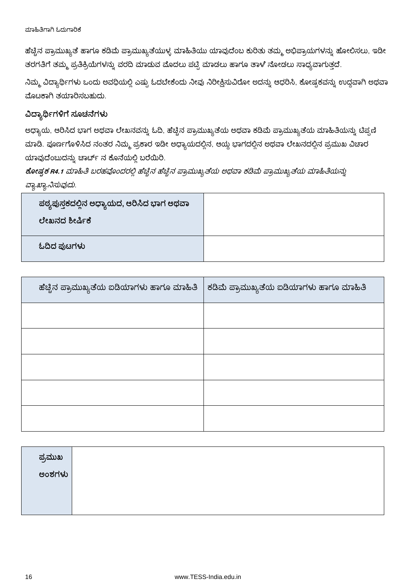ಹೆಚ್ಚಿನ ಪ್ರಾಮುಖ್ಯತೆ ಹಾಗೂ ಕಡಿಮೆ ಪ್ರಾಮುಖ್ಯತೆಯುಳ್ಳ ಮಾಹಿತಿಯು ಯಾವುದೆಂಬ ಕುರಿತು ತಮ್ಮ ಅಭಿಪ್ರಾಯಗಳನ್ನು ಹೋಲಿಸಲು, ಇಡೀ ತರಗತಿಗೆ ತಮ್ಮ ಪ್ರತಿಕ್ರಿಯೆಗಳನ್ನು ವರದಿ ಮಾಡುವ ಮೊದಲು ಪಟ್ಟಿ ಮಾಡಲು ಹಾಗೂ ತಾಳೆ ನೋಡಲು ಸಾಧ್ಯವಾಗುತ್ತದೆ.

ನಿಮ್ಮ ವಿದ್ಯಾರ್ಥಿಗಳು ಒಂದು ಅವಧಿಯಲ್ಲಿ ಎಷ್ಟು ಓದಬೇಕೆಂದು ನೀವು ನಿರೀಕ್ಷಿಸುವಿರೋ ಅದನ್ನು ಆಧರಿಸಿ, ಕೋಷ್ಟಕವನ್ನು ಉದ್ದವಾಗಿ ಅಥವಾ ಮೊಟಕಾಗಿ ತಯಾರಿಸಬಹುದು.

### ವಿದ್ಯಾರ್ಥಿಗಳಿಗೆ ಸೂಚನೆಗಳು

ಅಧ್ಯಾಯ, ಆರಿಸಿದ ಭಾಗ ಅಥವಾ ಲೇಖನವನ್ನು ಓದಿ, ಹೆಚ್ಚಿನ ಪ್ರಾಮುಖ್ಯತೆಯ ಅಥವಾ ಕಡಿಮೆ ಪ್ರಾಮುಖ್ಯತೆಯ ಮಾಹಿತಿಯನ್ನು ಟಿಪ್ಪಣಿ ಮಾಡಿ. ಪೂರ್ಣಗೊಳಿಸಿದ ನಂತರ ನಿಮ್ಮ ಪ್ರಕಾರ ಇಡೀ ಅಧ್ಯಾಯದಲ್ಲಿನ, ಆಯ್ದ ಭಾಗದಲ್ಲಿನ ಅಥವಾ ಲೇಖನದಲ್ಲಿನ ಪ್ರಮುಖ ವಿಚಾರ ಯಾವುದೆಂಬುದನ್ನು ಚಾರ್ಚ್ ನ ಕೊನೆಯಲ್ಲಿ ಬರೆಯಿರಿ.

ಕೋಷ್ಠಕ R4.1 ಮಾಹಿತಿ ಬರಹವೊಂದರಲ್ಲಿ ಹೆಚ್ಚಿನ ಹೆಚ್ಚಿನ ಪ್ರಾಮುಖ್ಯತೆಯ ಅಥವಾ ಕಡಿಮೆ ಪ್ರಾಮುಖ್ಯತೆಯ ಮಾಹಿತಿಯನ್ನು ವ್ಯಾಖ್ಯಾನಿಸುವುದು.

| ಪಠ್ಯಪುಸ್ತಕದಲ್ಲಿನ ಅಧ್ಯಾಯದ, ಆರಿಸಿದ ಭಾಗ ಅಥವಾ<br>ಲೇಖನದ ಶೀರ್ಷಿಕೆ |  |
|-------------------------------------------------------------|--|
| ಓದಿದ ಪುಟಗಳು                                                 |  |

| ಹೆಚ್ಚಿನ ಪ್ರಾಮುಖ್ಯತೆಯ ಐಡಿಯಾಗಳು ಹಾಗೂ ಮಾಹಿತಿ | ಕಡಿಮೆ ಪ್ರಾಮುಖ್ಯತೆಯ ಐಡಿಯಾಗಳು ಹಾಗೂ ಮಾಹಿತಿ |
|-------------------------------------------|-----------------------------------------|
|                                           |                                         |
|                                           |                                         |
|                                           |                                         |
|                                           |                                         |
|                                           |                                         |

| ಪ್ರಮುಖ |  |
|--------|--|
| ಅಂಶಗಳು |  |
|        |  |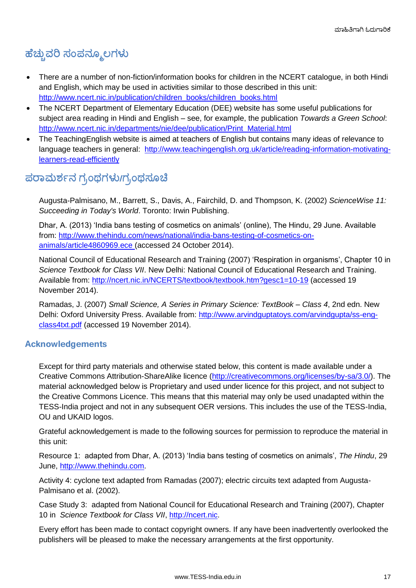# **ಹೆಚ್ಚುವರಿ ಸಂಪನ್ಮೂಲಗಳು**

- There are a number of non-fiction/information books for children in the NCERT catalogue, in both Hindi and English, which may be used in activities similar to those described in this unit: [http://www.ncert.nic.in/publication/children\\_books/children\\_books.html](http://www.ncert.nic.in/publication/children_books/children_books.html)
- The NCERT Department of Elementary Education (DEE) website has some useful publications for subject area reading in Hindi and English – see, for example, the publication *Towards a Green School*: [http://www.ncert.nic.in/departments/nie/dee/publication/Print\\_Material.html](http://www.ncert.nic.in/departments/nie/dee/publication/Print_Material.html)
- The TeachingEnglish website is aimed at teachers of English but contains many ideas of relevance to language teachers in general: [http://www.teachingenglish.org.uk/article/reading-information-motivating](http://www.teachingenglish.org.uk/article/reading-information-motivating-learners-read-efficiently)[learners-read-efficiently](http://www.teachingenglish.org.uk/article/reading-information-motivating-learners-read-efficiently)

# **/**

Augusta-Palmisano, M., Barrett, S., Davis, A., Fairchild, D. and Thompson, K. (2002) *ScienceWise 11: Succeeding in Today's World*. Toronto: Irwin Publishing.

Dhar, A. (2013) 'India bans testing of cosmetics on animals' (online), The Hindu, 29 June. Available from: [http://www.thehindu.com/news/national/india-bans-testing-of-cosmetics-on](http://www.thehindu.com/news/national/india-bans-testing-of-cosmetics-on-animals/article4860969.ece)[animals/article4860969.ece](http://www.thehindu.com/news/national/india-bans-testing-of-cosmetics-on-animals/article4860969.ece) (accessed 24 October 2014).

National Council of Educational Research and Training (2007) 'Respiration in organisms', Chapter 10 in *Science Textbook for Class VII*. New Delhi: National Council of Educational Research and Training. Available from:<http://ncert.nic.in/NCERTS/textbook/textbook.htm?gesc1=10-19> (accessed 19 November 2014).

Ramadas, J. (2007) *Small Science, A Series in Primary Science: TextBook – Class 4*, 2nd edn. New Delhi: Oxford University Press. Available from: [http://www.arvindguptatoys.com/arvindgupta/ss-eng](http://www.arvindguptatoys.com/arvindgupta/ss-eng-class4txt.pdf)[class4txt.pdf](http://www.arvindguptatoys.com/arvindgupta/ss-eng-class4txt.pdf) (accessed 19 November 2014).

### **Acknowledgements**

Except for third party materials and otherwise stated below, this content is made available under a Creative Commons Attribution-ShareAlike licence [\(http://creativecommons.org/licenses/by-sa/3.0/\)](http://creativecommons.org/licenses/by-sa/3.0/). The material acknowledged below is Proprietary and used under licence for this project, and not subject to the Creative Commons Licence. This means that this material may only be used unadapted within the TESS-India project and not in any subsequent OER versions. This includes the use of the TESS-India, OU and UKAID logos.

Grateful acknowledgement is made to the following sources for permission to reproduce the material in this unit:

Resource 1: adapted from Dhar, A. (2013) 'India bans testing of cosmetics on animals', *The Hindu*, 29 June, [http://www.thehindu.com.](http://www.thehindu.com/)

Activity 4: cyclone text adapted from Ramadas (2007); electric circuits text adapted from Augusta-Palmisano et al. (2002).

Case Study 3: adapted from National Council for Educational Research and Training (2007), Chapter 10 in *Science Textbook for Class VII*, [http://ncert.nic.](http://ncert.nic/)

Every effort has been made to contact copyright owners. If any have been inadvertently overlooked the publishers will be pleased to make the necessary arrangements at the first opportunity.